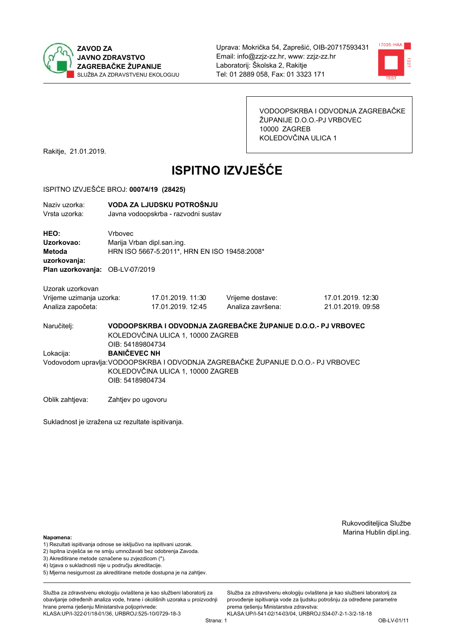



VODOOPSKRBA I ODVODNJA ZAGREBAČKE ŽUPANIJE D.O.O.-PJ VRBOVEC 10000 ZAGREB KOLEDOVČINA ULICA 1

Rakitje, 21.01.2019.

# **ISPITNO IZVJEŠĆE**

#### ISPITNO IZVJEŠĆE BROJ: 00074/19 (28425)

| Naziy uzorka:<br>Vrsta uzorka:  |                            | VODA ZA LJUDSKU POTROŠNJU<br>Javna vodoopskrba - razvodni sustav |  |                   |  |  |
|---------------------------------|----------------------------|------------------------------------------------------------------|--|-------------------|--|--|
| HEO:                            | Vrbovec                    |                                                                  |  |                   |  |  |
| Uzorkovao:                      | Marija Vrban dipl.san.ing. |                                                                  |  |                   |  |  |
| Metoda                          |                            | HRN ISO 5667-5:2011*, HRN EN ISO 19458:2008*                     |  |                   |  |  |
| uzorkovanja:                    |                            |                                                                  |  |                   |  |  |
| Plan uzorkovanja: OB-LV-07/2019 |                            |                                                                  |  |                   |  |  |
| Uzorak uzorkovan                |                            |                                                                  |  |                   |  |  |
| Vrijeme uzimanja uzorka:        |                            | 17.01.2019. 11:30                                                |  | Vrijeme dostave:  |  |  |
| Analiza započeta:               |                            | 17.01.2019, 12:45                                                |  | Analiza završena: |  |  |

17.01.2019. 12:30 21.01.2019.09:58

VODOOPSKRBA I ODVODNJA ZAGREBAČKE ŽUPANIJE D.O.O.- PJ VRBOVEC Naručitelj: KOLEDOVČINA ULICA 1, 10000 ZAGREB OIB: 54189804734 Lokacija: **BANIČEVEC NH** Vodovodom upravlja: VODOOPSKRBA I ODVODNJA ZAGREBAČKE ŽUPANIJE D.O.O.- PJ VRBOVEC KOLEDOVČINA ULICA 1, 10000 ZAGREB OIB: 54189804734

Oblik zahtjeva: Zahtjev po ugovoru

Sukladnost je izražena uz rezultate ispitivanja.

Rukovoditeljica Službe Marina Hublin dipl.ing.

#### Napomena:

- 1) Rezultati ispitivanja odnose se isključivo na ispitivani uzorak.
- 2) Ispitna izvješća se ne smiju umnožavati bez odobrenja Zavoda.

3) Akreditirane metode označene su zvjezdicom (\*).

- 4) Iziava o sukladnosti nije u području akreditacije.
- 5) Mjerna nesigurnost za akreditirane metode dostupna je na zahtjev.

Služba za zdravstvenu ekologiju ovlaštena je kao službeni laboratorij za obavlianie određenih analiza vode, hrane i okolišnih uzoraka u proizvodniji hrane prema rješenju Ministarstva poljoprivrede: KLASA:UP/I-322-01/18-01/36, URBROJ:525-10/0729-18-3

KLASA:UP/I-541-02/14-03/04, URBROJ:534-07-2-1-3/2-18-18 Strana: 1

prema rješenju Ministarstva zdravstva:

Služba za zdravstvenu ekologiju ovlaštena je kao službeni laboratorij za

provođenie ispitivania vode za liudsku potrošniu za određene parametre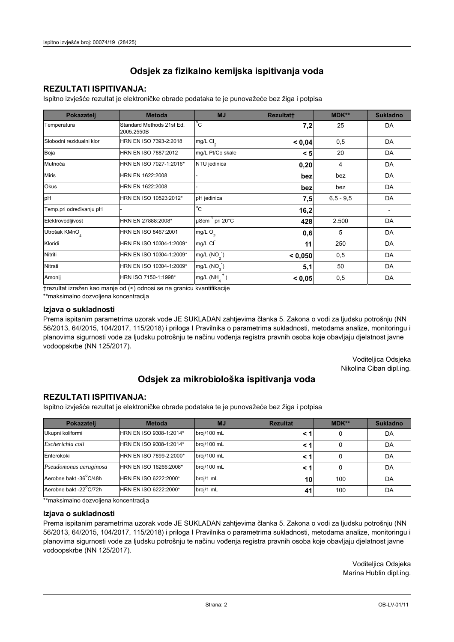## **REZULTATI ISPITIVANJA:**

Ispitno izviešće rezultat je elektroničke obrade podataka te je punovažeće bez žiga i potpisa

| Pokazatelj                | <b>Metoda</b>                           | <b>MJ</b>               | <b>Rezultatt</b> | <b>MDK**</b>  | <b>Sukladno</b> |
|---------------------------|-----------------------------------------|-------------------------|------------------|---------------|-----------------|
| Temperatura               | Standard Methods 21st Ed.<br>2005.2550B | $^{\circ}$ C            | 7,2              | 25            | DA              |
| Slobodni rezidualni klor  | HRN EN ISO 7393-2:2018                  | $mg/L$ Cl <sub>2</sub>  | 0.04             | 0,5           | DA              |
| Boja                      | HRN EN ISO 7887:2012                    | mg/L Pt/Co skale        | < 5              | 20            | DA              |
| Mutnoća                   | HRN EN ISO 7027-1:2016*                 | NTU jedinica            | 0,20             | 4             | DA              |
| <b>Miris</b>              | HRN EN 1622:2008                        |                         | bez              | bez           | DA              |
| Okus                      | HRN EN 1622:2008                        |                         | bez              | bez           | DA              |
| pH                        | HRN EN ISO 10523:2012*                  | pH jedinica             | 7,5              | $6, 5 - 9, 5$ | DA              |
| Temp.pri određivanju pH   |                                         | $^{\circ}$ C            | 16,2             |               |                 |
| Elektrovodljivost         | HRN EN 27888:2008*                      | µScm-1 pri 20°C         | 428              | 2.500         | DA              |
| Utrošak KMnO <sub>4</sub> | HRN EN ISO 8467:2001                    | mg/L O <sub>2</sub>     | 0,6              | 5             | DA              |
| Kloridi                   | HRN EN ISO 10304-1:2009*                | mg/L CI                 | 11               | 250           | DA              |
| Nitriti                   | HRN EN ISO 10304-1:2009*                | mg/L (NO <sub>2</sub> ) | < 0.050          | 0,5           | DA              |
| Nitrati                   | HRN EN ISO 10304-1:2009*                | mg/L (NO <sub>3</sub> ) | 5,1              | 50            | DA              |
| Amonij                    | HRN ISO 7150-1:1998*                    | mg/L (NH                | < 0,05           | 0,5           | DA              |

trezultat izražen kao manje od (<) odnosi se na granicu kvantifikacije

\*\*maksimalno dozvoljena koncentracija

#### Izjava o sukladnosti

Prema ispitanim parametrima uzorak vode JE SUKLADAN zahtievima članka 5. Zakona o vodi za ljudsku potrošnju (NN 56/2013, 64/2015, 104/2017, 115/2018) i priloga I Pravilnika o parametrima sukladnosti, metodama analize, monitoringu i planovima sigurnosti vode za ljudsku potrošnju te načinu vođenja registra pravnih osoba koje obavljaju djelatnost javne vodoopskrbe (NN 125/2017).

> Voditeljica Odsjeka Nikolina Ciban dipl.ing.

## Odsjek za mikrobiološka ispitivanja voda

### **REZULTATI ISPITIVANJA:**

Ispitno izvješće rezultat je elektroničke obrade podataka te je punovažeće bez žiga i potpisa

| Pokazatelj             | <b>Metoda</b>           | <b>MJ</b>   | <b>Rezultat</b> | <b>MDK**</b> | <b>Sukladno</b> |
|------------------------|-------------------------|-------------|-----------------|--------------|-----------------|
| Ukupni koliformi       | HRN EN ISO 9308-1:2014* | broj/100 mL |                 | 0            | DA              |
| Escherichia coli       | HRN EN ISO 9308-1:2014* | broj/100 mL | < '             | 0            | DA              |
| Enterokoki             | HRN EN ISO 7899-2:2000* | broj/100 mL | < '             | 0            | DA              |
| Pseudomonas aeruginosa | HRN EN ISO 16266:2008*  | broj/100 mL | < '             | 0            | DA              |
| Aerobne bakt -36°C/48h | HRN EN ISO 6222:2000*   | broj/1 mL   | 10              | 100          | DA              |
| Aerobne bakt -22°C/72h | HRN EN ISO 6222:2000*   | broj/1 mL   | 41              | 100          | DA              |

\*\* maksimalno dozvoljena koncentracija

#### Izjava o sukladnosti

Prema ispitanim parametrima uzorak vode JE SUKLADAN zahtjevima članka 5. Zakona o vodi za ljudsku potrošnju (NN 56/2013, 64/2015, 104/2017, 115/2018) i priloga I Pravilnika o parametrima sukladnosti, metodama analize, monitoringu i planovima sigurnosti vode za ljudsku potrošnju te načinu vođenja registra pravnih osoba koje obavljaju djelatnost javne vodoopskrbe (NN 125/2017).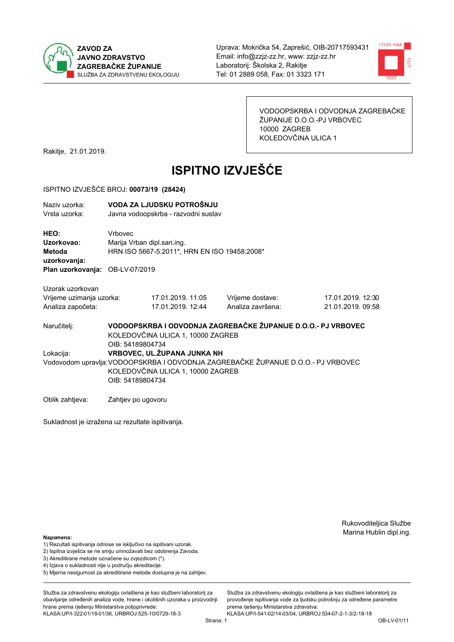



VODOOPSKRBA I ODVODNJA ZAGREBAČKE ŽUPANIJE D.O.O.-PJ VRBOVEC 10000 ZAGREB KOLEDOVČINA ULICA 1

Rakitje, 21.01.2019.

# **ISPITNO IZVJEŠĆE**

#### ISPITNO IZVJEŠĆE BROJ: 00073/19 (28424)

| Naziv uzorka:<br>Vrsta uzorka:               |                                                                                                                        | VODA ZA LJUDSKU POTROŠNJU<br>Javna vodoopskrba - razvodni sustav                                                       |                   |                   |  |  |  |
|----------------------------------------------|------------------------------------------------------------------------------------------------------------------------|------------------------------------------------------------------------------------------------------------------------|-------------------|-------------------|--|--|--|
| HEO:<br>Uzorkovao:<br>Metoda<br>uzorkovanja: | Vrbovec                                                                                                                | Marija Vrban dipl.san.ing.<br>HRN ISO 5667-5:2011*, HRN EN ISO 19458:2008*                                             |                   |                   |  |  |  |
| Plan uzorkovanja: OB-LV-07/2019              |                                                                                                                        |                                                                                                                        |                   |                   |  |  |  |
| Uzorak uzorkovan                             |                                                                                                                        |                                                                                                                        |                   |                   |  |  |  |
| Vrijeme uzimanja uzorka:                     |                                                                                                                        | 17.01.2019. 11:05                                                                                                      | Vrijeme dostave:  | 17.01.2019. 12:30 |  |  |  |
| Analiza započeta:                            |                                                                                                                        | 17.01.2019. 12:44                                                                                                      | Analiza završena: | 21.01.2019. 09:58 |  |  |  |
| Naručitelj:                                  | VODOOPSKRBA I ODVODNJA ZAGREBAČKE ŽUPANIJE D.O.O.- PJ VRBOVEC<br>KOLEDOVČINA ULICA 1, 10000 ZAGREB<br>OIB: 54189804734 |                                                                                                                        |                   |                   |  |  |  |
| Lokacija:                                    |                                                                                                                        | VRBOVEC, UL. ŽUPANA JUNKA NH                                                                                           |                   |                   |  |  |  |
|                                              | OIB: 54189804734                                                                                                       | Vodovodom upravlja: VODOOPSKRBA I ODVODNJA ZAGREBAČKE ŽUPANIJE D.O.O.- PJ VRBOVEC<br>KOLEDOVČINA ULICA 1, 10000 ZAGREB |                   |                   |  |  |  |
| Oblik zahtieva:                              | Zahtjev po ugovoru                                                                                                     |                                                                                                                        |                   |                   |  |  |  |

Sukladnost je izražena uz rezultate ispitivanja.

Rukovoditeljica Službe Marina Hublin dipl.ing.

#### Napomena:

- 1) Rezultati ispitivanja odnose se isključivo na ispitivani uzorak.
- 2) Ispitna izvješća se ne smiju umnožavati bez odobrenja Zavoda.
- 3) Akreditirane metode označene su zvjezdicom (\*).
- 4) Iziava o sukladnosti nije u području akreditacije.
- 5) Mjerna nesigurnost za akreditirane metode dostupna je na zahtjev.

Služba za zdravstvenu ekologiju ovlaštena je kao službeni laboratorij za obavlianie određenih analiza vode, hrane i okolišnih uzoraka u proizvodniji hrane prema rješenju Ministarstva poljoprivrede: KLASA:UP/I-322-01/18-01/36, URBROJ:525-10/0729-18-3

prema rješenju Ministarstva zdravstva: KLASA:UP/I-541-02/14-03/04, URBROJ:534-07-2-1-3/2-18-18 Strana: 1

Služba za zdravstvenu ekologiju ovlaštena je kao službeni laboratorij za

provođenie ispitivania vode za liudsku potrošniu za određene parametre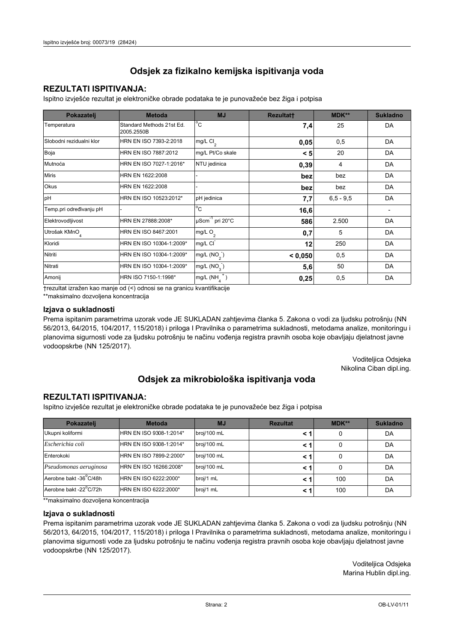## **REZULTATI ISPITIVANJA:**

Ispitno izviešće rezultat je elektroničke obrade podataka te je punovažeće bez žiga i potpisa

| Pokazatelj                | <b>Metoda</b>                           | <b>MJ</b>                   | <b>Rezultatt</b> | <b>MDK**</b>  | <b>Sukladno</b> |
|---------------------------|-----------------------------------------|-----------------------------|------------------|---------------|-----------------|
| Temperatura               | Standard Methods 21st Ed.<br>2005.2550B | $^{\circ}$ C                | 7,4              | 25            | DA              |
| Slobodni rezidualni klor  | HRN EN ISO 7393-2:2018                  | $mg/L$ Cl <sub>2</sub>      | 0,05             | 0,5           | DA              |
| Boja                      | HRN EN ISO 7887:2012                    | mg/L Pt/Co skale            | < 5              | 20            | DA              |
| Mutnoća                   | HRN EN ISO 7027-1:2016*                 | NTU jedinica                | 0,39             | 4             | DA              |
| <b>Miris</b>              | HRN EN 1622:2008                        |                             | bez              | bez           | DA              |
| <b>Okus</b>               | HRN EN 1622:2008                        |                             | bez              | bez           | DA              |
| pH                        | HRN EN ISO 10523:2012*                  | pH jedinica                 | 7,7              | $6, 5 - 9, 5$ | DA              |
| Temp.pri određivanju pH   |                                         | $^{\circ}$ C                | 16,6             |               |                 |
| Elektrovodljivost         | HRN EN 27888:2008*                      | µScm <sup>-1</sup> pri 20°C | 586              | 2.500         | DA              |
| Utrošak KMnO <sub>4</sub> | HRN EN ISO 8467:2001                    | mg/L $O_2$                  | 0,7              | 5             | DA              |
| Kloridi                   | HRN EN ISO 10304-1:2009*                | mg/L CI                     | 12               | 250           | DA              |
| Nitriti                   | HRN EN ISO 10304-1:2009*                | mg/L $(NO2)$                | < 0,050          | 0,5           | DA              |
| Nitrati                   | HRN EN ISO 10304-1:2009*                | mg/L (NO <sub>3</sub> )     | 5,6              | 50            | DA              |
| Amonij                    | HRN ISO 7150-1:1998*                    | mg/L (NH                    | 0,25             | 0,5           | DA              |

trezultat izražen kao manje od (<) odnosi se na granicu kvantifikacije

\*\*maksimalno dozvoljena koncentracija

#### Izjava o sukladnosti

Prema ispitanim parametrima uzorak vode JE SUKLADAN zahtievima članka 5. Zakona o vodi za ljudsku potrošnju (NN 56/2013, 64/2015, 104/2017, 115/2018) i priloga I Pravilnika o parametrima sukladnosti, metodama analize, monitoringu i planovima sigurnosti vode za ljudsku potrošnju te načinu vođenja registra pravnih osoba koje obavljaju djelatnost javne vodoopskrbe (NN 125/2017).

> Voditeljica Odsjeka Nikolina Ciban dipl.ing.

# Odsjek za mikrobiološka ispitivanja voda

## **REZULTATI ISPITIVANJA:**

Ispitno izvješće rezultat je elektroničke obrade podataka te je punovažeće bez žiga i potpisa

| Pokazatelj             | <b>Metoda</b>           | <b>MJ</b>   | <b>Rezultat</b> | <b>MDK**</b> | <b>Sukladno</b> |
|------------------------|-------------------------|-------------|-----------------|--------------|-----------------|
| Ukupni koliformi       | HRN EN ISO 9308-1:2014* | broj/100 mL |                 | 0            | DA              |
| Escherichia coli       | HRN EN ISO 9308-1:2014* | broj/100 mL | < '             | 0            | DA              |
| Enterokoki             | HRN EN ISO 7899-2:2000* | broj/100 mL | < '             |              | DA              |
| Pseudomonas aeruginosa | HRN EN ISO 16266:2008*  | broj/100 mL | < '             | 0            | DA              |
| Aerobne bakt -36°C/48h | HRN EN ISO 6222:2000*   | broj/1 mL   |                 | 100          | DA              |
| Aerobne bakt -22°C/72h | HRN EN ISO 6222:2000*   | broj/1 mL   | < '             | 100          | DA              |

\*\* maksimalno dozvoljena koncentracija

#### Izjava o sukladnosti

Prema ispitanim parametrima uzorak vode JE SUKLADAN zahtjevima članka 5. Zakona o vodi za ljudsku potrošnju (NN 56/2013, 64/2015, 104/2017, 115/2018) i priloga I Pravilnika o parametrima sukladnosti, metodama analize, monitoringu i planovima sigurnosti vode za ljudsku potrošnju te načinu vođenja registra pravnih osoba koje obavljaju djelatnost javne vodoopskrbe (NN 125/2017).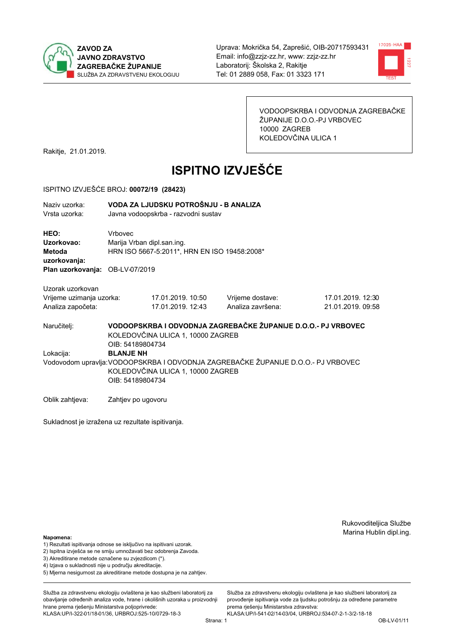



VODOOPSKRBA I ODVODNJA ZAGREBAČKE ŽUPANIJE D.O.O.-PJ VRBOVEC 10000 ZAGREB KOLEDOVČINA ULICA 1

Rakitje, 21.01.2019.

# **ISPITNO IZVJEŠĆE**

#### ISPITNO IZVJEŠĆE BROJ: 00072/19 (28423)

| Naziv uzorka: | VODA ZA LJUDSKU POTROŠNJU - B ANALIZA |
|---------------|---------------------------------------|
|               |                                       |

Vrsta uzorka: Javna vodoopskrba - razvodni sustav

HEO: Vrbovec Uzorkovao: Mariia Vrban dipl.san.ing. Metoda HRN ISO 5667-5:2011\*, HRN EN ISO 19458:2008\* uzorkovanja:

Plan uzorkovanja: OB-LV-07/2019

Uzorak uzorkovan Vrijeme uzimania uzorka:

| Vrijeme uzimanja uzorka: | 17.01.2019. 10:50 |
|--------------------------|-------------------|
| Analiza započeta:        | 17.01.2019. 12:43 |

Vrijeme dostave: Analiza završena:

17.01.2019. 12:30 21.01.2019.09:58

Naručitelj:

VODOOPSKRBA I ODVODNJA ZAGREBAČKE ŽUPANIJE D.O.O.- PJ VRBOVEC KOLEDOVČINA ULICA 1, 10000 ZAGREB OIB: 54189804734 Lokacija: **BLANJE NH** Vodovodom upravlja: VODOOPSKRBA I ODVODNJA ZAGREBAČKE ŽUPANIJE D.O.O.- PJ VRBOVEC KOLEDOVČINA ULICA 1, 10000 ZAGREB OIB: 54189804734

Oblik zahtjeva: Zahtjev po ugovoru

Sukladnost je izražena uz rezultate ispitivanja.

Rukovoditeljica Službe Marina Hublin dipl.ing.

Napomena:

- 1) Rezultati ispitivanja odnose se isključivo na ispitivani uzorak.
- 2) Ispitna izvješća se ne smiju umnožavati bez odobrenja Zavoda.

3) Akreditirane metode označene su zvjezdicom (\*).

- 4) Iziava o sukladnosti nije u područiu akreditacije.
- 5) Mjerna nesigurnost za akreditirane metode dostupna je na zahtjev.

Služba za zdravstvenu ekologiju ovlaštena je kao službeni laboratorij za obavlianie određenih analiza vode, hrane i okolišnih uzoraka u proizvodniji hrane prema rješenju Ministarstva poljoprivrede:

KLASA:UP/I-322-01/18-01/36, URBROJ:525-10/0729-18-3

Služba za zdravstvenu ekologiju ovlaštena je kao službeni laboratorij za provođenie ispitivania vode za liudsku potrošniu za određene parametre prema riešenju Ministarstva zdravstva: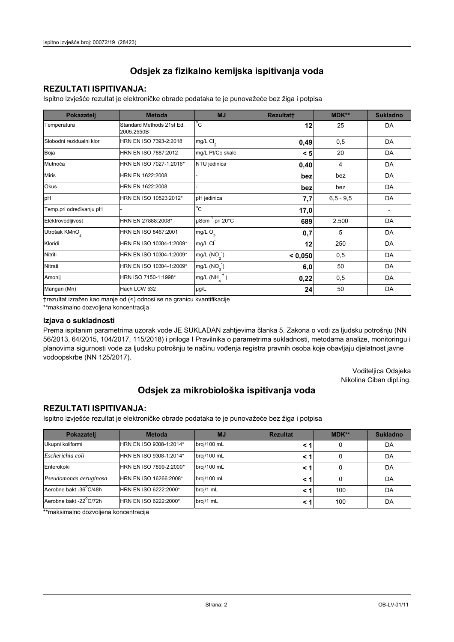## **REZULTATI ISPITIVANJA:**

Ispitno izvješće rezultat je elektroničke obrade podataka te je punovažeće bez žiga i potpisa

| Pokazatelj                | <b>Metoda</b>                           | <b>MJ</b>               | Rezultatt | <b>MDK**</b> | <b>Sukladno</b>          |
|---------------------------|-----------------------------------------|-------------------------|-----------|--------------|--------------------------|
| Temperatura               | Standard Methods 21st Ed.<br>2005.2550B | $^{\circ}$ C            | 12        | 25           | DA                       |
| Slobodni rezidualni klor  | HRN EN ISO 7393-2:2018                  | mg/L Cl <sub>2</sub>    | 0,49      | 0,5          | DA                       |
| Boja                      | HRN EN ISO 7887:2012                    | mg/L Pt/Co skale        | < 5       | 20           | DA                       |
| Mutnoća                   | HRN EN ISO 7027-1:2016*                 | NTU jedinica            | 0,40      | 4            | DA                       |
| <b>Miris</b>              | HRN EN 1622:2008                        |                         | bez       | bez          | DA                       |
| Okus                      | HRN EN 1622:2008                        |                         | bez       | bez          | DA                       |
| pH                        | HRN EN ISO 10523:2012*                  | pH jedinica             | 7,7       | $6,5 - 9,5$  | DA                       |
| Temp.pri određivanju pH   |                                         | $\overline{C}$          | 17,0      |              | $\overline{\phantom{a}}$ |
| Elektrovodljivost         | HRN EN 27888:2008*                      | µScm-1 pri 20°C         | 689       | 2.500        | DA                       |
| Utrošak KMnO <sub>4</sub> | HRN EN ISO 8467:2001                    | mg/L O <sub>2</sub>     | 0,7       | 5            | DA                       |
| Kloridi                   | HRN EN ISO 10304-1:2009*                | mg/L CI                 | 12        | 250          | DA                       |
| Nitriti                   | HRN EN ISO 10304-1:2009*                | mg/L (NO <sub>2</sub> ) | < 0,050   | 0,5          | DA                       |
| Nitrati                   | HRN EN ISO 10304-1:2009*                | mg/L $(NO3)$            | 6,0       | 50           | DA                       |
| Amonij                    | HRN ISO 7150-1:1998*                    | $mg/L(NH_4^+)$          | 0,22      | 0,5          | DA                       |
| Mangan (Mn)               | Hach LCW 532                            | µg/L                    | 24        | 50           | DA                       |

†rezultat izražen kao manje od (<) odnosi se na granicu kvantifikacije

\*\*maksimalno dozvoljena koncentracija

#### Izjava o sukladnosti

Prema ispitanim parametrima uzorak vode JE SUKLADAN zahtjevima članka 5. Zakona o vodi za ljudsku potrošnju (NN 56/2013, 64/2015, 104/2017, 115/2018) i priloga I Pravilnika o parametrima sukladnosti, metodama analize, monitoringu i planovima sigurnosti vode za ljudsku potrošnju te načinu vođenja registra pravnih osoba koje obavljaju djelatnost javne vodoopskrbe (NN 125/2017).

> Voditeljica Odsjeka Nikolina Ciban dipl.ing.

## Odsjek za mikrobiološka ispitivanja voda

### **REZULTATI ISPITIVANJA:**

Ispitno izvješće rezultat je elektroničke obrade podataka te je punovažeće bez žiga i potpisa

| Pokazatelj             | <b>Metoda</b>           | <b>MJ</b>   | <b>Rezultat</b> | <b>MDK**</b> | <b>Sukladno</b> |
|------------------------|-------------------------|-------------|-----------------|--------------|-----------------|
| Ukupni koliformi       | HRN EN ISO 9308-1:2014* | broj/100 mL |                 |              | DA              |
| Escherichia coli       | HRN EN ISO 9308-1:2014* | broj/100 mL |                 | 0            | DA              |
| Enterokoki             | HRN EN ISO 7899-2:2000* | broj/100 mL | < '             | 0            | DA              |
| Pseudomonas aeruginosa | HRN EN ISO 16266:2008*  | broj/100 mL | < '             | 0            | DA              |
| Aerobne bakt -36°C/48h | HRN EN ISO 6222:2000*   | broj/1 mL   | < 1             | 100          | DA              |
| Aerobne bakt -22°C/72h | HRN EN ISO 6222:2000*   | broj/1 mL   |                 | 100          | DA              |

\*\*maksimalno dozvoljena koncentracija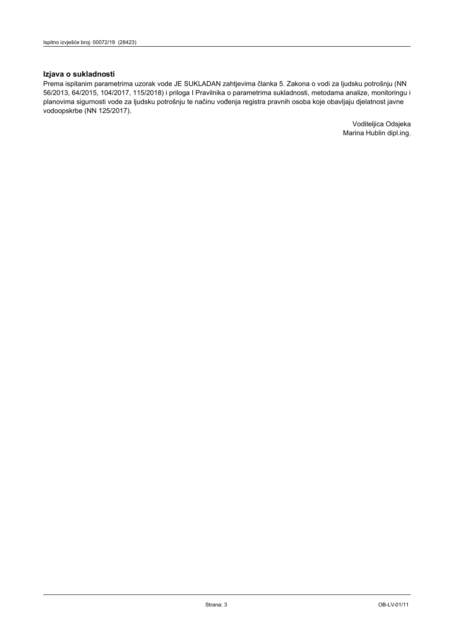#### Izjava o sukladnosti

Prema ispitanim parametrima uzorak vode JE SUKLADAN zahtjevima članka 5. Zakona o vodi za ljudsku potrošnju (NN 56/2013, 64/2015, 104/2017, 115/2018) i priloga I Pravilnika o parametrima sukladnosti, metodama analize, monitoringu i planovima sigurnosti vode za ljudsku potrošnju te načinu vođenja registra pravnih osoba koje obavljaju djelatnost javne vodoopskrbe (NN 125/2017).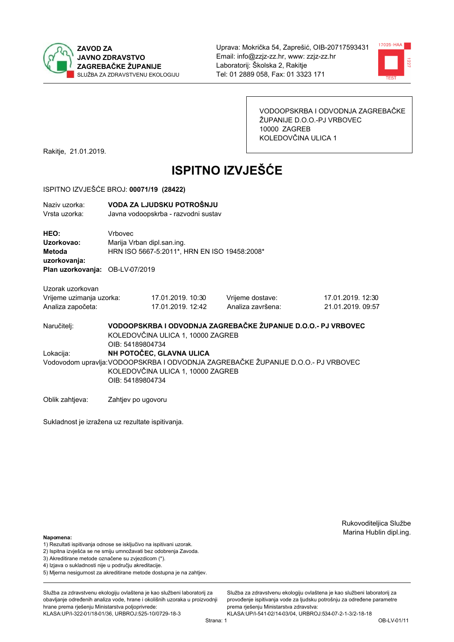



VODOOPSKRBA I ODVODNJA ZAGREBAČKE ŽUPANIJE D.O.O.-PJ VRBOVEC 10000 ZAGREB KOLEDOVČINA ULICA 1

Rakitje, 21.01.2019.

# **ISPITNO IZVJEŠĆE**

#### ISPITNO IZVJEŠĆE BROJ: 00071/19 (28422)

| Naziv uzorka:<br>Vrsta uzorka:               |                    | VODA ZA LJUDSKU POTROŠNJU<br>Javna vodoopskrba - razvodni sustav                                                       |                                                                                   |                   |  |  |
|----------------------------------------------|--------------------|------------------------------------------------------------------------------------------------------------------------|-----------------------------------------------------------------------------------|-------------------|--|--|
| HEO:<br>Uzorkovao:<br>Metoda<br>uzorkovanja: | Vrbovec            | Marija Vrban dipl.san.ing.<br>HRN ISO 5667-5:2011*, HRN EN ISO 19458:2008*                                             |                                                                                   |                   |  |  |
| Plan uzorkovanja: OB-LV-07/2019              |                    |                                                                                                                        |                                                                                   |                   |  |  |
| Uzorak uzorkovan                             |                    |                                                                                                                        |                                                                                   |                   |  |  |
| Vrijeme uzimanja uzorka:                     |                    | 17.01.2019. 10:30                                                                                                      | Vrijeme dostave:                                                                  | 17.01.2019. 12:30 |  |  |
| Analiza započeta:                            |                    | 17.01.2019. 12:42                                                                                                      | Analiza završena:                                                                 | 21.01.2019. 09:57 |  |  |
| Naručitelj:                                  |                    | VODOOPSKRBA I ODVODNJA ZAGREBAČKE ŽUPANIJE D.O.O.- PJ VRBOVEC<br>KOLEDOVČINA ULICA 1, 10000 ZAGREB<br>OIB: 54189804734 |                                                                                   |                   |  |  |
| Lokacija:                                    |                    | NH POTOČEC, GLAVNA ULICA                                                                                               |                                                                                   |                   |  |  |
|                                              | OIB: 54189804734   | KOLEDOVČINA ULICA 1, 10000 ZAGREB                                                                                      | Vodovodom upravlja: VODOOPSKRBA I ODVODNJA ZAGREBAČKE ŽUPANIJE D.O.O.- PJ VRBOVEC |                   |  |  |
| Oblik zahtjeva:                              | Zahtjev po ugovoru |                                                                                                                        |                                                                                   |                   |  |  |

Sukladnost je izražena uz rezultate ispitivanja.

Rukovoditeljica Službe Marina Hublin dipl.ing.

#### Napomena:

- 1) Rezultati ispitivanja odnose se isključivo na ispitivani uzorak.
- 2) Ispitna izvješća se ne smiju umnožavati bez odobrenja Zavoda.
- 3) Akreditirane metode označene su zvjezdicom (\*).
- 4) Iziava o sukladnosti nije u području akreditacije.
- 5) Mjerna nesigurnost za akreditirane metode dostupna je na zahtjev.

Služba za zdravstvenu ekologiju ovlaštena je kao službeni laboratorij za obavlianie određenih analiza vode, hrane i okolišnih uzoraka u proizvodniji hrane prema rješenju Ministarstva poljoprivrede: KLASA:UP/I-322-01/18-01/36, URBROJ:525-10/0729-18-3

Služba za zdravstvenu ekologiju ovlaštena je kao službeni laboratorij za provođenie ispitivania vode za liudsku potrošniu za određene parametre prema rješenju Ministarstva zdravstva:

KLASA:UP/I-541-02/14-03/04, URBROJ:534-07-2-1-3/2-18-18 Strana: 1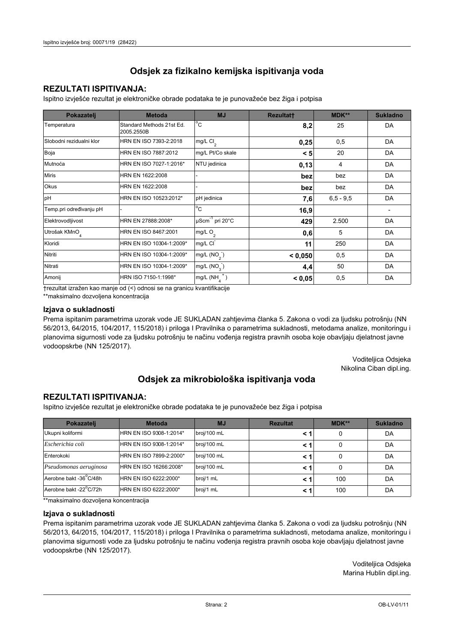## **REZULTATI ISPITIVANJA:**

Ispitno izviešće rezultat je elektroničke obrade podataka te je punovažeće bez žiga i potpisa

| Pokazatelj                | <b>Metoda</b>                           | <b>MJ</b>               | <b>Rezultatt</b> | <b>MDK**</b>  | <b>Sukladno</b> |
|---------------------------|-----------------------------------------|-------------------------|------------------|---------------|-----------------|
| Temperatura               | Standard Methods 21st Ed.<br>2005.2550B | $^{\circ}$ C            | 8,2              | 25            | DA              |
| Slobodni rezidualni klor  | HRN EN ISO 7393-2:2018                  | mg/L $Cl2$              | 0,25             | 0,5           | DA              |
| Boja                      | HRN EN ISO 7887:2012                    | mg/L Pt/Co skale        | < 5              | 20            | DA              |
| Mutnoća                   | HRN EN ISO 7027-1:2016*                 | NTU jedinica            | 0,13             | 4             | DA              |
| <b>Miris</b>              | HRN EN 1622:2008                        |                         | bez              | bez           | DA              |
| Okus                      | HRN EN 1622:2008                        |                         | bez              | bez           | DA              |
| pH                        | HRN EN ISO 10523:2012*                  | pH jedinica             | 7,6              | $6, 5 - 9, 5$ | DA              |
| Temp.pri određivanju pH   |                                         | $^{\circ}$ C            | 16,9             |               |                 |
| Elektrovodljivost         | HRN EN 27888:2008*                      | µScm-1 pri 20°C         | 429              | 2.500         | DA              |
| Utrošak KMnO <sub>4</sub> | HRN EN ISO 8467:2001                    | mg/L $O2$               | 0,6              | 5             | DA              |
| Kloridi                   | HRN EN ISO 10304-1:2009*                | mg/L CI                 | 11               | 250           | DA              |
| Nitriti                   | HRN EN ISO 10304-1:2009*                | mg/L (NO <sub>2</sub> ) | < 0.050          | 0,5           | DA              |
| Nitrati                   | HRN EN ISO 10304-1:2009*                | mg/L (NO <sub>3</sub> ) | 4,4              | 50            | DA              |
| Amonij                    | HRN ISO 7150-1:1998*                    | mg/L (NH                | < 0,05           | 0,5           | DA              |

trezultat izražen kao manje od (<) odnosi se na granicu kvantifikacije

\*\*maksimalno dozvoljena koncentracija

#### Izjava o sukladnosti

Prema ispitanim parametrima uzorak vode JE SUKLADAN zahtievima članka 5. Zakona o vodi za ljudsku potrošnju (NN 56/2013, 64/2015, 104/2017, 115/2018) i priloga I Pravilnika o parametrima sukladnosti, metodama analize, monitoringu i planovima sigurnosti vode za ljudsku potrošnju te načinu vođenja registra pravnih osoba koje obavljaju djelatnost javne vodoopskrbe (NN 125/2017).

> Voditeljica Odsjeka Nikolina Ciban dipl.ing.

## Odsjek za mikrobiološka ispitivanja voda

### **REZULTATI ISPITIVANJA:**

Ispitno izvješće rezultat je elektroničke obrade podataka te je punovažeće bez žiga i potpisa

| Pokazatelj             | <b>Metoda</b>           | <b>MJ</b>   | <b>Rezultat</b> | <b>MDK**</b> | <b>Sukladno</b> |
|------------------------|-------------------------|-------------|-----------------|--------------|-----------------|
| Ukupni koliformi       | HRN EN ISO 9308-1:2014* | broj/100 mL |                 | 0            | DA              |
| Escherichia coli       | HRN EN ISO 9308-1:2014* | broj/100 mL | < '             | 0            | DA              |
| Enterokoki             | HRN EN ISO 7899-2:2000* | broj/100 mL | < '             |              | DA              |
| Pseudomonas aeruginosa | HRN EN ISO 16266:2008*  | broj/100 mL | < '             | 0            | DA              |
| Aerobne bakt -36°C/48h | HRN EN ISO 6222:2000*   | broj/1 mL   |                 | 100          | DA              |
| Aerobne bakt -22°C/72h | HRN EN ISO 6222:2000*   | broj/1 mL   | < '             | 100          | DA              |

\*\* maksimalno dozvoljena koncentracija

#### Izjava o sukladnosti

Prema ispitanim parametrima uzorak vode JE SUKLADAN zahtjevima članka 5. Zakona o vodi za ljudsku potrošnju (NN 56/2013, 64/2015, 104/2017, 115/2018) i priloga I Pravilnika o parametrima sukladnosti, metodama analize, monitoringu i planovima sigurnosti vode za ljudsku potrošnju te načinu vođenja registra pravnih osoba koje obavljaju djelatnost javne vodoopskrbe (NN 125/2017).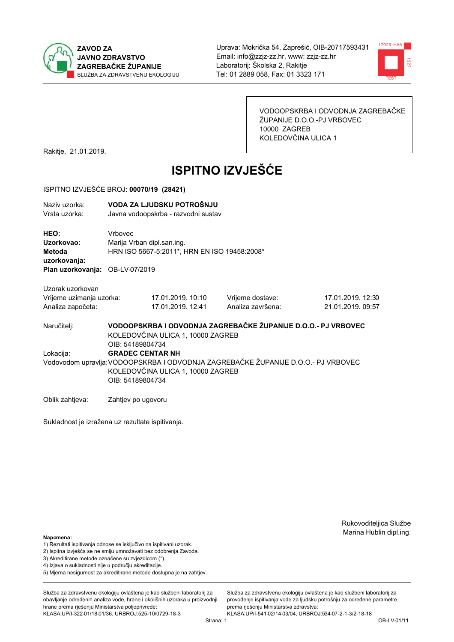



VODOOPSKRBA I ODVODNJA ZAGREBAČKE ŽUPANIJE D.O.O.-PJ VRBOVEC 10000 ZAGREB KOLEDOVČINA ULICA 1

Rakitje, 21.01.2019.

# **ISPITNO IZVJEŠĆE**

#### ISPITNO IZVJEŠĆE BROJ: 00070/19 (28421)

| Naziv uzorka:<br>Vrsta uzorka:                                    |                         | VODA ZA LJUDSKU POTROŠNJU<br>Javna vodoopskrba - razvodni sustav                                                       |                                                                                   |                                        |  |  |  |
|-------------------------------------------------------------------|-------------------------|------------------------------------------------------------------------------------------------------------------------|-----------------------------------------------------------------------------------|----------------------------------------|--|--|--|
| HEO:<br>Uzorkovao:<br>Metoda<br>uzorkovanja:                      | Vrbovec                 | Marija Vrban dipl.san.ing.<br>HRN ISO 5667-5:2011*, HRN EN ISO 19458:2008*                                             |                                                                                   |                                        |  |  |  |
| Plan uzorkovanja: OB-LV-07/2019                                   |                         |                                                                                                                        |                                                                                   |                                        |  |  |  |
| Uzorak uzorkovan<br>Vrijeme uzimanja uzorka:<br>Analiza započeta: |                         | 17.01.2019. 10:10<br>17.01.2019. 12:41                                                                                 | Vrijeme dostave:<br>Analiza završena:                                             | 17.01.2019. 12:30<br>21.01.2019. 09:57 |  |  |  |
| Naručitelj:                                                       |                         | VODOOPSKRBA I ODVODNJA ZAGREBAČKE ŽUPANIJE D.O.O.- PJ VRBOVEC<br>KOLEDOVČINA ULICA 1, 10000 ZAGREB<br>OIB: 54189804734 |                                                                                   |                                        |  |  |  |
| Lokacija:                                                         | <b>GRADEC CENTAR NH</b> | KOLEDOVČINA ULICA 1, 10000 ZAGREB                                                                                      | Vodovodom upravlja: VODOOPSKRBA I ODVODNJA ZAGREBAČKE ŽUPANIJE D.O.O.- PJ VRBOVEC |                                        |  |  |  |

Oblik zahtjeva: Zahtjev po ugovoru

Sukladnost je izražena uz rezultate ispitivanja.

OIB: 54189804734

Rukovoditeljica Službe Marina Hublin dipl.ing.

#### Napomena:

- 1) Rezultati ispitivanja odnose se isključivo na ispitivani uzorak.
- 2) Ispitna izvješća se ne smiju umnožavati bez odobrenja Zavoda.

3) Akreditirane metode označene su zvjezdicom (\*).

- 4) Iziava o sukladnosti nije u područiu akreditacije.
- 5) Mjerna nesigurnost za akreditirane metode dostupna je na zahtjev.

Služba za zdravstvenu ekologiju ovlaštena je kao službeni laboratorij za obavljanje određenih analiza vode, hrane i okolišnih uzoraka u proizvodniji hrane prema rješenju Ministarstva poljoprivrede: KLASA:UP/I-322-01/18-01/36, URBROJ:525-10/0729-18-3

Služba za zdravstvenu ekologiju ovlaštena je kao službeni laboratorij za provođenie ispitivania vode za liudsku potrošniu za određene parametre prema rješenju Ministarstva zdravstva:

KLASA:UP/I-541-02/14-03/04, URBROJ:534-07-2-1-3/2-18-18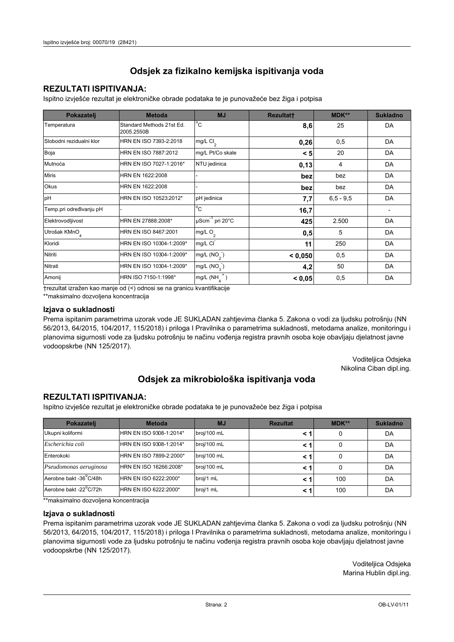## **REZULTATI ISPITIVANJA:**

Ispitno izviešće rezultat je elektroničke obrade podataka te je punovažeće bez žiga i potpisa

| Pokazatelj                | <b>Metoda</b>                           | <b>MJ</b>               | <b>Rezultatt</b> | MDK**         | <b>Sukladno</b> |
|---------------------------|-----------------------------------------|-------------------------|------------------|---------------|-----------------|
| Temperatura               | Standard Methods 21st Ed.<br>2005.2550B | $^{\circ}$ C            | 8,6              | 25            | DA              |
| Slobodni rezidualni klor  | HRN EN ISO 7393-2:2018                  | mg/L $Cl2$              | 0,26             | 0,5           | DA              |
| Boja                      | HRN EN ISO 7887:2012                    | mg/L Pt/Co skale        | < 5              | 20            | DA              |
| Mutnoća                   | HRN EN ISO 7027-1:2016*                 | NTU jedinica            | 0,13             | 4             | DA              |
| <b>Miris</b>              | HRN EN 1622:2008                        |                         | bez              | bez           | DA              |
| Okus                      | HRN EN 1622:2008                        |                         | bez              | bez           | DA              |
| pH                        | HRN EN ISO 10523:2012*                  | pH jedinica             | 7,7              | $6, 5 - 9, 5$ | DA              |
| Temp.pri određivanju pH   |                                         | $^{\circ}$ C            | 16,7             |               |                 |
| Elektrovodljivost         | HRN EN 27888:2008*                      | µScm-1 pri 20°C         | 425              | 2.500         | DA              |
| Utrošak KMnO <sub>4</sub> | HRN EN ISO 8467:2001                    | mg/L $O2$               | 0,5              | 5             | DA              |
| Kloridi                   | HRN EN ISO 10304-1:2009*                | mg/L CI                 | 11               | 250           | DA              |
| Nitriti                   | HRN EN ISO 10304-1:2009*                | mg/L (NO <sub>2</sub> ) | < 0.050          | 0,5           | DA              |
| Nitrati                   | HRN EN ISO 10304-1:2009*                | mg/L (NO <sub>3</sub> ) | 4,2              | 50            | DA              |
| Amonij                    | HRN ISO 7150-1:1998*                    | mg/L (NH                | < 0,05           | 0,5           | DA              |

trezultat izražen kao manje od (<) odnosi se na granicu kvantifikacije

\*\*maksimalno dozvoljena koncentracija

#### Izjava o sukladnosti

Prema ispitanim parametrima uzorak vode JE SUKLADAN zahtievima članka 5. Zakona o vodi za ljudsku potrošnju (NN 56/2013, 64/2015, 104/2017, 115/2018) i priloga I Pravilnika o parametrima sukladnosti, metodama analize, monitoringu i planovima sigurnosti vode za ljudsku potrošnju te načinu vođenja registra pravnih osoba koje obavljaju djelatnost javne vodoopskrbe (NN 125/2017).

> Voditeljica Odsjeka Nikolina Ciban dipl.ing.

## Odsjek za mikrobiološka ispitivanja voda

### **REZULTATI ISPITIVANJA:**

Ispitno izvješće rezultat je elektroničke obrade podataka te je punovažeće bez žiga i potpisa

| Pokazatelj             | <b>Metoda</b>           | <b>MJ</b>   | <b>Rezultat</b> | <b>MDK**</b> | <b>Sukladno</b> |
|------------------------|-------------------------|-------------|-----------------|--------------|-----------------|
| Ukupni koliformi       | HRN EN ISO 9308-1:2014* | broj/100 mL |                 |              | DA              |
| Escherichia coli       | HRN EN ISO 9308-1:2014* | broj/100 mL | < 1             |              | DA              |
| Enterokoki             | HRN EN ISO 7899-2:2000* | broj/100 mL | < '             |              | DA              |
| Pseudomonas aeruginosa | HRN EN ISO 16266:2008*  | broj/100 mL | < 1             | 0            | DA              |
| Aerobne bakt -36 C/48h | HRN EN ISO 6222:2000*   | broj/1 mL   |                 | 100          | DA              |
| Aerobne bakt -22°C/72h | HRN EN ISO 6222:2000*   | broj/1 mL   | < 1             | 100          | DA              |

\*\* maksimalno dozvoljena koncentracija

#### Izjava o sukladnosti

Prema ispitanim parametrima uzorak vode JE SUKLADAN zahtjevima članka 5. Zakona o vodi za ljudsku potrošnju (NN 56/2013, 64/2015, 104/2017, 115/2018) i priloga I Pravilnika o parametrima sukladnosti, metodama analize, monitoringu i planovima sigurnosti vode za ljudsku potrošnju te načinu vođenja registra pravnih osoba koje obavljaju djelatnost javne vodoopskrbe (NN 125/2017).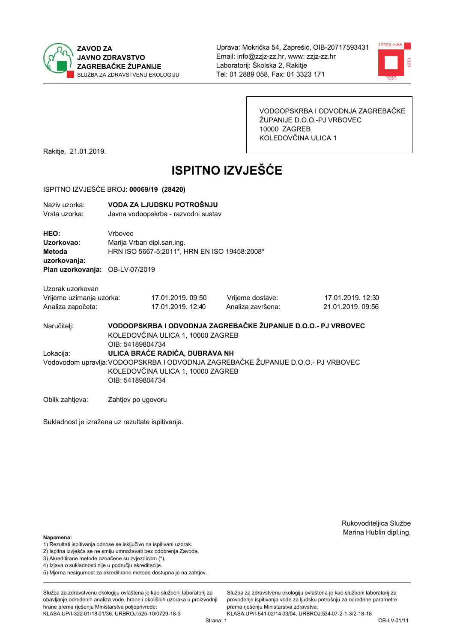



VODOOPSKRBA I ODVODNJA ZAGREBAČKE ŽUPANIJE D.O.O.-PJ VRBOVEC 10000 ZAGREB KOLEDOVČINA ULICA 1

Rakitje, 21.01.2019.

# **ISPITNO IZVJEŠĆE**

#### ISPITNO IZVJEŠĆE BROJ: 00069/19 (28420)

| Naziv uzorka:<br>Vrsta uzorka:               |                                       | VODA ZA LJUDSKU POTROŠNJU<br>Javna vodoopskrba - razvodni sustav |                                                                                   |                   |  |  |
|----------------------------------------------|---------------------------------------|------------------------------------------------------------------|-----------------------------------------------------------------------------------|-------------------|--|--|
| HEO:<br>Uzorkovao:<br>Metoda<br>uzorkovanja: | Vrbovec<br>Marija Vrban dipl.san.ing. | HRN ISO 5667-5:2011*, HRN EN ISO 19458:2008*                     |                                                                                   |                   |  |  |
| Plan uzorkovanja: OB-LV-07/2019              |                                       |                                                                  |                                                                                   |                   |  |  |
| Uzorak uzorkovan                             |                                       |                                                                  |                                                                                   |                   |  |  |
| Vrijeme uzimanja uzorka:                     |                                       | 17.01.2019. 09:50                                                | Vrijeme dostave:                                                                  | 17.01.2019. 12:30 |  |  |
| Analiza započeta:                            |                                       | 17.01.2019. 12:40                                                | Analiza završena:                                                                 | 21.01.2019. 09:56 |  |  |
| Naručitelj:                                  | OIB: 54189804734                      | KOLEDOVČINA ULICA 1, 10000 ZAGREB                                | VODOOPSKRBA I ODVODNJA ZAGREBAČKE ŽUPANIJE D.O.O.- PJ VRBOVEC                     |                   |  |  |
| Lokacija:                                    |                                       | ULICA BRAĆE RADIĆA, DUBRAVA NH                                   |                                                                                   |                   |  |  |
|                                              | OIB: 54189804734                      | KOLEDOVČINA ULICA 1, 10000 ZAGREB                                | Vodovodom upravlja: VODOOPSKRBA I ODVODNJA ZAGREBAČKE ŽUPANIJE D.O.O.- PJ VRBOVEC |                   |  |  |
| Oblik zahtjeva:                              | Zahtjev po ugovoru                    |                                                                  |                                                                                   |                   |  |  |

Sukladnost je izražena uz rezultate ispitivanja.

Rukovoditeljica Službe Marina Hublin dipl.ing.

#### Napomena:

- 1) Rezultati ispitivanja odnose se isključivo na ispitivani uzorak.
- 2) Ispitna izvješća se ne smiju umnožavati bez odobrenja Zavoda.
- 3) Akreditirane metode označene su zvjezdicom (\*).
- 4) Iziava o sukladnosti nije u području akreditacije.
- 5) Mjerna nesigurnost za akreditirane metode dostupna je na zahtjev.

Služba za zdravstvenu ekologiju ovlaštena je kao službeni laboratorij za obavlianie određenih analiza vode, hrane i okolišnih uzoraka u proizvodniji hrane prema rješenju Ministarstva poljoprivrede: KLASA:UP/I-322-01/18-01/36, URBROJ:525-10/0729-18-3

Služba za zdravstvenu ekologiju ovlaštena je kao službeni laboratorij za provođenie ispitivania vode za liudsku potrošniu za određene parametre prema rješenju Ministarstva zdravstva:

KLASA:UP/I-541-02/14-03/04, URBROJ:534-07-2-1-3/2-18-18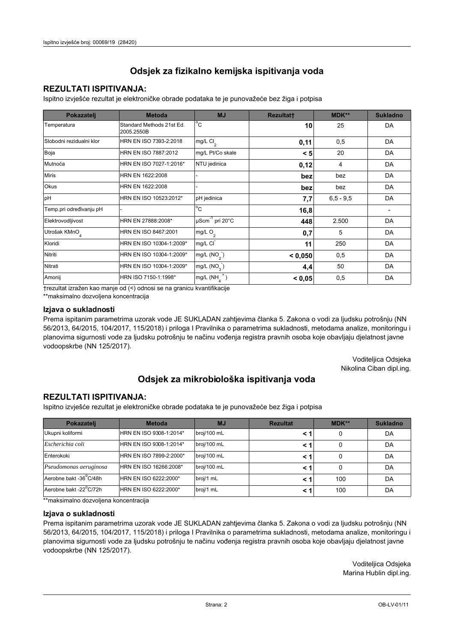## **REZULTATI ISPITIVANJA:**

Ispitno izviešće rezultat je elektroničke obrade podataka te je punovažeće bez žiga i potpisa

| Pokazatelj                | <b>Metoda</b>                           | <b>MJ</b>                   | <b>Rezultatt</b> | MDK**         | <b>Sukladno</b> |
|---------------------------|-----------------------------------------|-----------------------------|------------------|---------------|-----------------|
| Temperatura               | Standard Methods 21st Ed.<br>2005.2550B | $^{\circ}$ C                | 10               | 25            | DA              |
| Slobodni rezidualni klor  | HRN EN ISO 7393-2:2018                  | $mg/L$ Cl <sub>2</sub>      | 0,11             | 0,5           | DA              |
| Boja                      | HRN EN ISO 7887:2012                    | mg/L Pt/Co skale            | < 5              | 20            | DA              |
| Mutnoća                   | HRN EN ISO 7027-1:2016*                 | NTU jedinica                | 0,12             | 4             | DA              |
| <b>Miris</b>              | HRN EN 1622:2008                        |                             | bez              | bez           | DA              |
| <b>Okus</b>               | HRN EN 1622:2008                        |                             | bez              | bez           | DA              |
| pH                        | HRN EN ISO 10523:2012*                  | pH jedinica                 | 7,7              | $6, 5 - 9, 5$ | DA              |
| Temp.pri određivanju pH   |                                         | $^{\circ}$ C                | 16,8             |               |                 |
| Elektrovodljivost         | HRN EN 27888:2008*                      | µScm <sup>-1</sup> pri 20°C | 448              | 2.500         | DA              |
| Utrošak KMnO <sub>4</sub> | HRN EN ISO 8467:2001                    | mg/L $O_2$                  | 0,7              | 5             | DA              |
| Kloridi                   | HRN EN ISO 10304-1:2009*                | mg/L CI                     | 11               | 250           | DA              |
| Nitriti                   | HRN EN ISO 10304-1:2009*                | mg/L $(NO2)$                | < 0,050          | 0,5           | DA              |
| Nitrati                   | HRN EN ISO 10304-1:2009*                | mg/L $(NO3)$                | 4,4              | 50            | DA              |
| Amonij                    | HRN ISO 7150-1:1998*                    | mg/L (NH                    | < 0,05           | 0,5           | DA              |

trezultat izražen kao manje od (<) odnosi se na granicu kvantifikacije

\*\*maksimalno dozvoljena koncentracija

#### Izjava o sukladnosti

Prema ispitanim parametrima uzorak vode JE SUKLADAN zahtievima članka 5. Zakona o vodi za ljudsku potrošnju (NN 56/2013, 64/2015, 104/2017, 115/2018) i priloga I Pravilnika o parametrima sukladnosti, metodama analize, monitoringu i planovima sigurnosti vode za ljudsku potrošnju te načinu vođenja registra pravnih osoba koje obavljaju djelatnost javne vodoopskrbe (NN 125/2017).

> Voditeljica Odsjeka Nikolina Ciban dipl.ing.

## Odsjek za mikrobiološka ispitivanja voda

### **REZULTATI ISPITIVANJA:**

Ispitno izvješće rezultat je elektroničke obrade podataka te je punovažeće bez žiga i potpisa

| Pokazatelj             | <b>Metoda</b>           | <b>MJ</b>   | <b>Rezultat</b> | $MDK**$ | <b>Sukladno</b> |
|------------------------|-------------------------|-------------|-----------------|---------|-----------------|
| Ukupni koliformi       | HRN EN ISO 9308-1:2014* | broj/100 mL |                 | 0       | DA              |
| Escherichia coli       | HRN EN ISO 9308-1:2014* | broj/100 mL |                 | 0       | DA              |
| Enterokoki             | HRN EN ISO 7899-2:2000* | broj/100 mL |                 | 0       | DA              |
| Pseudomonas aeruginosa | HRN EN ISO 16266:2008*  | broj/100 mL |                 | 0       | DA              |
| Aerobne bakt -36°C/48h | HRN EN ISO 6222:2000*   | broj/1 mL   |                 | 100     | DA              |
| Aerobne bakt -22°C/72h | HRN EN ISO 6222:2000*   | broj/1 mL   |                 | 100     | DA              |

\*\* maksimalno dozvoljena koncentracija

#### Izjava o sukladnosti

Prema ispitanim parametrima uzorak vode JE SUKLADAN zahtjevima članka 5. Zakona o vodi za ljudsku potrošnju (NN 56/2013, 64/2015, 104/2017, 115/2018) i priloga I Pravilnika o parametrima sukladnosti, metodama analize, monitoringu i planovima sigurnosti vode za ljudsku potrošnju te načinu vođenja registra pravnih osoba koje obavljaju djelatnost javne vodoopskrbe (NN 125/2017).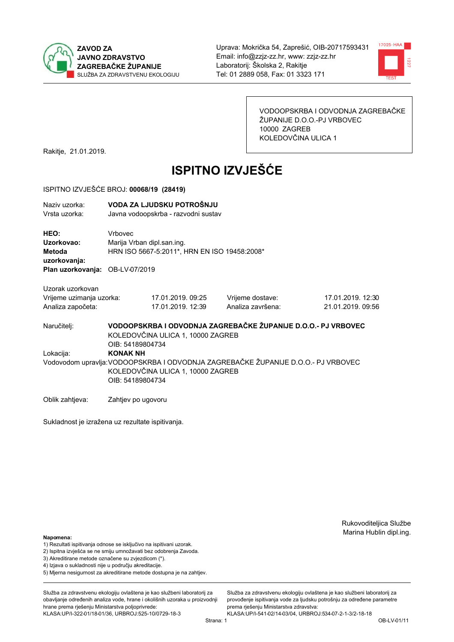



VODOOPSKRBA I ODVODNJA ZAGREBAČKE ŽUPANIJE D.O.O.-PJ VRBOVEC 10000 ZAGREB KOLEDOVČINA ULICA 1

Rakitje, 21.01.2019.

# **ISPITNO IZVJEŠĆE**

#### ISPITNO IZVJEŠĆE BROJ: 00068/19 (28419)

| Naziv uzorka:<br>Vrsta uzorka:  |                                                                            | VODA ZA LJUDSKU POTROŠNJU<br>Javna vodoopskrba - razvodni sustav           |                                                               |                   |  |  |
|---------------------------------|----------------------------------------------------------------------------|----------------------------------------------------------------------------|---------------------------------------------------------------|-------------------|--|--|
| HEO:<br>Uzorkovao:              | Vrbovec                                                                    |                                                                            |                                                               |                   |  |  |
| Metoda<br>uzorkovanja:          |                                                                            | Marija Vrban dipl.san.ing.<br>HRN ISO 5667-5:2011*, HRN EN ISO 19458:2008* |                                                               |                   |  |  |
| Plan uzorkovanja: OB-LV-07/2019 |                                                                            |                                                                            |                                                               |                   |  |  |
| Uzorak uzorkovan                |                                                                            |                                                                            |                                                               |                   |  |  |
| Vrijeme uzimanja uzorka:        |                                                                            | 17.01.2019. 09:25                                                          | Vrijeme dostave:                                              | 17.01.2019. 12:30 |  |  |
| Analiza započeta:               |                                                                            | 17.01.2019. 12:39                                                          | Analiza završena:                                             | 21.01.2019. 09:56 |  |  |
| Naručiteli:                     | $\bigcap_{n=1}^{\infty}$ $\bigcap_{n=1}^{\infty}$ $\bigcap_{n=1}^{\infty}$ | KOLEDOVČINA ULICA 1, 10000 ZAGREB                                          | VODOOPSKRBA I ODVODNJA ZAGREBAČKE ŽUPANIJE D.O.O.- PJ VRBOVEC |                   |  |  |

OIB: 54189804734 Lokacija: **KONAK NH** Vodovodom upravlja: VODOOPSKRBA I ODVODNJA ZAGREBAČKE ŽUPANIJE D.O.O.- PJ VRBOVEC KOLEDOVČINA ULICA 1, 10000 ZAGREB OIB: 54189804734

Oblik zahtjeva: Zahtjev po ugovoru

Sukladnost je izražena uz rezultate ispitivanja.

Rukovoditeljica Službe Marina Hublin dipl.ing.

#### Napomena:

- 1) Rezultati ispitivanja odnose se isključivo na ispitivani uzorak.
- 2) Ispitna izvješća se ne smiju umnožavati bez odobrenja Zavoda.

3) Akreditirane metode označene su zvjezdicom (\*).

- 4) Iziava o sukladnosti nije u području akreditacije.
- 5) Mjerna nesigurnost za akreditirane metode dostupna je na zahtjev.

Služba za zdravstvenu ekologiju ovlaštena je kao službeni laboratorij za obavlianie određenih analiza vode, hrane i okolišnih uzoraka u proizvodniji hrane prema rješenju Ministarstva poljoprivrede: KLASA:UP/I-322-01/18-01/36, URBROJ:525-10/0729-18-3

Služba za zdravstvenu ekologiju ovlaštena je kao službeni laboratorij za provođenie ispitivania vode za liudsku potrošniu za određene parametre prema rješenju Ministarstva zdravstva: KLASA:UP/I-541-02/14-03/04, URBROJ:534-07-2-1-3/2-18-18

Strana: 1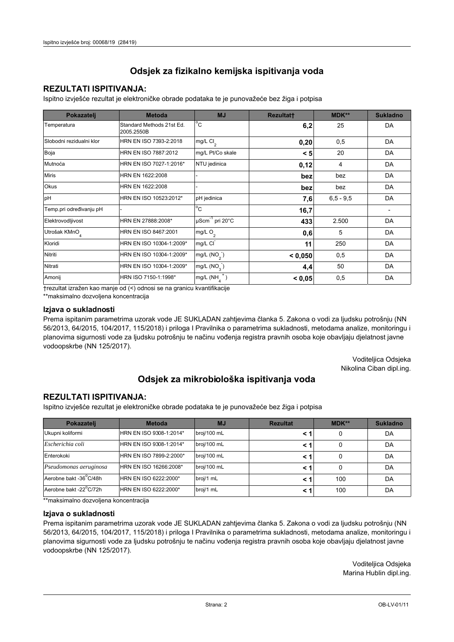## **REZULTATI ISPITIVANJA:**

Ispitno izviešće rezultat je elektroničke obrade podataka te je punovažeće bez žiga i potpisa

| Pokazatelj                | <b>Metoda</b>                           | <b>MJ</b>               | <b>Rezultatt</b> | MDK**         | <b>Sukladno</b> |
|---------------------------|-----------------------------------------|-------------------------|------------------|---------------|-----------------|
| Temperatura               | Standard Methods 21st Ed.<br>2005.2550B | $^{\circ}$ C            | 6,2              | 25            | DA              |
| Slobodni rezidualni klor  | HRN EN ISO 7393-2:2018                  | mg/L $Cl2$              | 0,20             | 0,5           | DA              |
| Boja                      | HRN EN ISO 7887:2012                    | mg/L Pt/Co skale        | < 5              | 20            | DA              |
| Mutnoća                   | HRN EN ISO 7027-1:2016*                 | NTU jedinica            | 0,12             | 4             | DA              |
| <b>Miris</b>              | HRN EN 1622:2008                        |                         | bez              | bez           | DA              |
| Okus                      | HRN EN 1622:2008                        |                         | bez              | bez           | DA              |
| pH                        | HRN EN ISO 10523:2012*                  | pH jedinica             | 7,6              | $6, 5 - 9, 5$ | DA              |
| Temp.pri određivanju pH   |                                         | $^{\circ}$ C            | 16,7             |               |                 |
| Elektrovodljivost         | HRN EN 27888:2008*                      | µScm-1 pri 20°C         | 433              | 2.500         | DA              |
| Utrošak KMnO <sub>4</sub> | HRN EN ISO 8467:2001                    | mg/L $O2$               | 0,6              | 5             | DA              |
| Kloridi                   | HRN EN ISO 10304-1:2009*                | mg/L CI                 | 11               | 250           | DA              |
| Nitriti                   | HRN EN ISO 10304-1:2009*                | mg/L (NO <sub>2</sub> ) | < 0.050          | 0,5           | DA              |
| Nitrati                   | HRN EN ISO 10304-1:2009*                | mg/L (NO <sub>3</sub> ) | 4,4              | 50            | DA              |
| Amonij                    | HRN ISO 7150-1:1998*                    | mg/L (NH                | < 0,05           | 0,5           | DA              |

trezultat izražen kao manje od (<) odnosi se na granicu kvantifikacije

\*\*maksimalno dozvoljena koncentracija

#### Izjava o sukladnosti

Prema ispitanim parametrima uzorak vode JE SUKLADAN zahtievima članka 5. Zakona o vodi za ljudsku potrošnju (NN 56/2013, 64/2015, 104/2017, 115/2018) i priloga I Pravilnika o parametrima sukladnosti, metodama analize, monitoringu i planovima sigurnosti vode za ljudsku potrošnju te načinu vođenja registra pravnih osoba koje obavljaju djelatnost javne vodoopskrbe (NN 125/2017).

> Voditeljica Odsjeka Nikolina Ciban dipl.ing.

## Odsjek za mikrobiološka ispitivanja voda

### **REZULTATI ISPITIVANJA:**

Ispitno izvješće rezultat je elektroničke obrade podataka te je punovažeće bez žiga i potpisa

| Pokazatelj             | <b>Metoda</b>           | <b>MJ</b>   | <b>Rezultat</b> | $MDK**$ | <b>Sukladno</b> |
|------------------------|-------------------------|-------------|-----------------|---------|-----------------|
| Ukupni koliformi       | HRN EN ISO 9308-1:2014* | broj/100 mL |                 | 0       | DA              |
| Escherichia coli       | HRN EN ISO 9308-1:2014* | broj/100 mL |                 | 0       | DA              |
| Enterokoki             | HRN EN ISO 7899-2:2000* | broj/100 mL |                 | 0       | DA              |
| Pseudomonas aeruginosa | HRN EN ISO 16266:2008*  | broj/100 mL | < 1             | 0       | DA              |
| Aerobne bakt -36 C/48h | HRN EN ISO 6222:2000*   | broj/1 mL   |                 | 100     | DA              |
| Aerobne bakt -22°C/72h | HRN EN ISO 6222:2000*   | broj/1 mL   |                 | 100     | DA              |

\*\* maksimalno dozvoljena koncentracija

#### Izjava o sukladnosti

Prema ispitanim parametrima uzorak vode JE SUKLADAN zahtjevima članka 5. Zakona o vodi za ljudsku potrošnju (NN 56/2013, 64/2015, 104/2017, 115/2018) i priloga I Pravilnika o parametrima sukladnosti, metodama analize, monitoringu i planovima sigurnosti vode za ljudsku potrošnju te načinu vođenja registra pravnih osoba koje obavljaju djelatnost javne vodoopskrbe (NN 125/2017).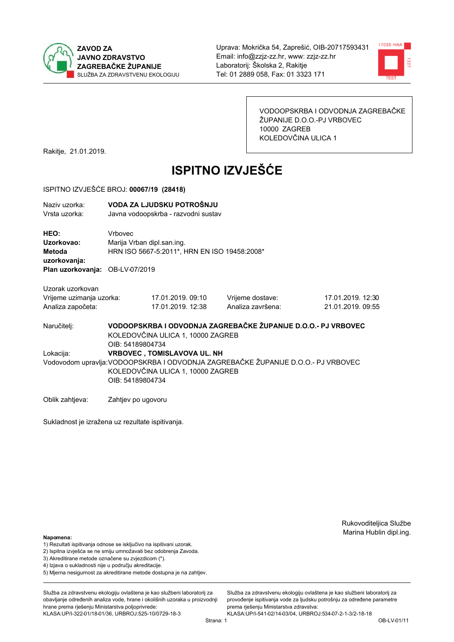



VODOOPSKRBA I ODVODNJA ZAGREBAČKE ŽUPANIJE D.O.O.-PJ VRBOVEC 10000 ZAGREB KOLEDOVČINA ULICA 1

Rakitje, 21.01.2019.

# **ISPITNO IZVJEŠĆE**

#### ISPITNO IZVJEŠĆE BROJ: 00067/19 (28418)

| Naziv uzorka:<br>Vrsta uzorka:               |                                                                                                                                                                                  | VODA ZA LJUDSKU POTROŠNJU<br>Javna vodoopskrba - razvodni sustav           |                                                               |                   |  |
|----------------------------------------------|----------------------------------------------------------------------------------------------------------------------------------------------------------------------------------|----------------------------------------------------------------------------|---------------------------------------------------------------|-------------------|--|
| HEO:<br>Uzorkovao:<br>Metoda<br>uzorkovanja: | <b>Vrhovec</b>                                                                                                                                                                   | Marija Vrban dipl.san.ing.<br>HRN ISO 5667-5:2011*, HRN EN ISO 19458:2008* |                                                               |                   |  |
| Plan uzorkovanja: OB-LV-07/2019              |                                                                                                                                                                                  |                                                                            |                                                               |                   |  |
| Uzorak uzorkovan                             |                                                                                                                                                                                  |                                                                            |                                                               |                   |  |
| Vrijeme uzimanja uzorka:                     |                                                                                                                                                                                  | 17.01.2019.09:10                                                           | Vrijeme dostave:                                              | 17.01.2019. 12:30 |  |
| Analiza započeta:                            |                                                                                                                                                                                  | 17.01.2019. 12:38                                                          | Analiza završena:                                             | 21.01.2019. 09:55 |  |
| Naručitelj:                                  | OIB: 54189804734                                                                                                                                                                 | KOLEDOVČINA ULICA 1, 10000 ZAGREB                                          | VODOOPSKRBA I ODVODNJA ZAGREBAČKE ŽUPANIJE D.O.O.- PJ VRBOVEC |                   |  |
| Lokacija:                                    | <b>VRBOVEC, TOMISLAVOVA UL. NH</b><br>Vodovodom upravlja: VODOOPSKRBA I ODVODNJA ZAGREBAČKE ŽUPANIJE D.O.O.- PJ VRBOVEC<br>KOLEDOVČINA ULICA 1, 10000 ZAGREB<br>OIB: 54189804734 |                                                                            |                                                               |                   |  |
| Oblik zahtjeva:                              | Zahtjev po ugovoru                                                                                                                                                               |                                                                            |                                                               |                   |  |

Sukladnost je izražena uz rezultate ispitivanja.

Rukovoditeljica Službe Marina Hublin dipl.ing.

#### Napomena:

- 1) Rezultati ispitivanja odnose se isključivo na ispitivani uzorak.
- 2) Ispitna izvješća se ne smiju umnožavati bez odobrenja Zavoda.

3) Akreditirane metode označene su zvjezdicom (\*).

- 4) Iziava o sukladnosti nije u području akreditacije.
- 5) Mjerna nesigurnost za akreditirane metode dostupna je na zahtjev.

Služba za zdravstvenu ekologiju ovlaštena je kao službeni laboratorij za obavlianie određenih analiza vode, hrane i okolišnih uzoraka u proizvodniji hrane prema rješenju Ministarstva poljoprivrede: KLASA:UP/I-322-01/18-01/36, URBROJ:525-10/0729-18-3

Služba za zdravstvenu ekologiju ovlaštena je kao službeni laboratorij za provođenie ispitivania vode za liudsku potrošniu za određene parametre prema rješenju Ministarstva zdravstva:

KLASA:UP/I-541-02/14-03/04, URBROJ:534-07-2-1-3/2-18-18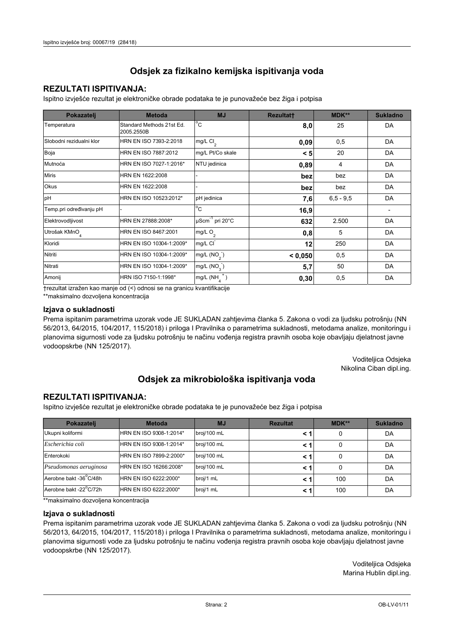## **REZULTATI ISPITIVANJA:**

Ispitno izviešće rezultat je elektroničke obrade podataka te je punovažeće bez žiga i potpisa

| Pokazatelj                | <b>Metoda</b>                           | <b>MJ</b>               | <b>Rezultatt</b> | MDK**         | <b>Sukladno</b> |
|---------------------------|-----------------------------------------|-------------------------|------------------|---------------|-----------------|
| Temperatura               | Standard Methods 21st Ed.<br>2005.2550B | $^{\circ}$ C            | 8,0              | 25            | DA              |
| Slobodni rezidualni klor  | HRN EN ISO 7393-2:2018                  | mg/L $Cl2$              | 0,09             | 0,5           | DA              |
| Boja                      | HRN EN ISO 7887:2012                    | mg/L Pt/Co skale        | < 5              | 20            | DA              |
| Mutnoća                   | HRN EN ISO 7027-1:2016*                 | NTU jedinica            | 0,89             | 4             | DA              |
| <b>Miris</b>              | HRN EN 1622:2008                        |                         | bez              | bez           | DA              |
| Okus                      | HRN EN 1622:2008                        |                         | bez              | bez           | DA              |
| pH                        | HRN EN ISO 10523:2012*                  | pH jedinica             | 7,6              | $6, 5 - 9, 5$ | DA              |
| Temp.pri određivanju pH   |                                         | $^{\circ}$ C            | 16,9             |               |                 |
| Elektrovodljivost         | HRN EN 27888:2008*                      | µScm-1 pri 20°C         | 632              | 2.500         | DA              |
| Utrošak KMnO <sub>4</sub> | HRN EN ISO 8467:2001                    | mg/L $O2$               | 0,8              | 5             | DA              |
| Kloridi                   | HRN EN ISO 10304-1:2009*                | mg/L CI                 | 12               | 250           | DA              |
| Nitriti                   | HRN EN ISO 10304-1:2009*                | mg/L (NO <sub>2</sub> ) | < 0.050          | 0,5           | DA              |
| Nitrati                   | HRN EN ISO 10304-1:2009*                | mg/L (NO <sub>3</sub> ) | 5,7              | 50            | DA              |
| Amonij                    | HRN ISO 7150-1:1998*                    | mg/L (NH                | 0,30             | 0,5           | DA              |

trezultat izražen kao manje od (<) odnosi se na granicu kvantifikacije

\*\*maksimalno dozvoljena koncentracija

#### Izjava o sukladnosti

Prema ispitanim parametrima uzorak vode JE SUKLADAN zahtievima članka 5. Zakona o vodi za ljudsku potrošnju (NN 56/2013, 64/2015, 104/2017, 115/2018) i priloga I Pravilnika o parametrima sukladnosti, metodama analize, monitoringu i planovima sigurnosti vode za ljudsku potrošnju te načinu vođenja registra pravnih osoba koje obavljaju djelatnost javne vodoopskrbe (NN 125/2017).

> Voditeljica Odsjeka Nikolina Ciban dipl.ing.

## Odsjek za mikrobiološka ispitivanja voda

### **REZULTATI ISPITIVANJA:**

Ispitno izvješće rezultat je elektroničke obrade podataka te je punovažeće bez žiga i potpisa

| Pokazatelj             | <b>Metoda</b>           | <b>MJ</b>   | <b>Rezultat</b> | <b>MDK**</b> | <b>Sukladno</b> |
|------------------------|-------------------------|-------------|-----------------|--------------|-----------------|
| Ukupni koliformi       | HRN EN ISO 9308-1:2014* | broj/100 mL |                 |              | DA              |
| Escherichia coli       | HRN EN ISO 9308-1:2014* | broj/100 mL | < 1             |              | DA              |
| Enterokoki             | HRN EN ISO 7899-2:2000* | broj/100 mL | < '             |              | DA              |
| Pseudomonas aeruginosa | HRN EN ISO 16266:2008*  | broj/100 mL | < 1             | 0            | DA              |
| Aerobne bakt -36 C/48h | HRN EN ISO 6222:2000*   | broj/1 mL   |                 | 100          | DA              |
| Aerobne bakt -22°C/72h | HRN EN ISO 6222:2000*   | broj/1 mL   | < 1             | 100          | DA              |

\*\* maksimalno dozvoljena koncentracija

#### Izjava o sukladnosti

Prema ispitanim parametrima uzorak vode JE SUKLADAN zahtjevima članka 5. Zakona o vodi za ljudsku potrošnju (NN 56/2013, 64/2015, 104/2017, 115/2018) i priloga I Pravilnika o parametrima sukladnosti, metodama analize, monitoringu i planovima sigurnosti vode za ljudsku potrošnju te načinu vođenja registra pravnih osoba koje obavljaju djelatnost javne vodoopskrbe (NN 125/2017).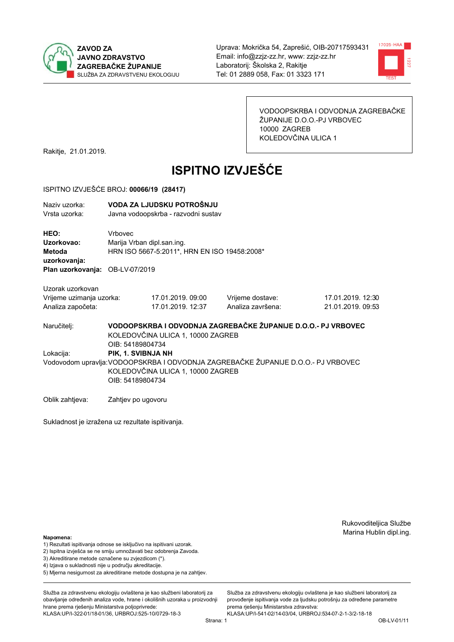



VODOOPSKRBA I ODVODNJA ZAGREBAČKE ŽUPANIJE D.O.O.-PJ VRBOVEC 10000 ZAGREB KOLEDOVČINA ULICA 1

Rakitje, 21.01.2019.

# **ISPITNO IZVJEŠĆE**

#### ISPITNO IZVJEŠĆE BROJ: 00066/19 (28417)

| Naziv uzorka:<br>Vrsta uzorka:  |         | VODA ZA LJUDSKU POTROŠNJU<br>Javna vodoopskrba - razvodni sustav |                                                               |                   |  |  |  |
|---------------------------------|---------|------------------------------------------------------------------|---------------------------------------------------------------|-------------------|--|--|--|
| HEO:                            | Vrbovec |                                                                  |                                                               |                   |  |  |  |
| Uzorkovao:                      |         | Marija Vrban dipl.san.ing.                                       |                                                               |                   |  |  |  |
| Metoda                          |         | HRN ISO 5667-5:2011*, HRN EN ISO 19458:2008*                     |                                                               |                   |  |  |  |
| uzorkovanja:                    |         |                                                                  |                                                               |                   |  |  |  |
| Plan uzorkovanja: OB-LV-07/2019 |         |                                                                  |                                                               |                   |  |  |  |
|                                 |         |                                                                  |                                                               |                   |  |  |  |
| Uzorak uzorkovan                |         |                                                                  |                                                               |                   |  |  |  |
| Vrijeme uzimanja uzorka:        |         | 17.01.2019.09:00                                                 | Vrijeme dostave:                                              | 17.01.2019. 12:30 |  |  |  |
| Analiza započeta:               |         | 17.01.2019. 12:37                                                | Analiza završena:                                             | 21.01.2019. 09:53 |  |  |  |
| Naručiteli:                     |         |                                                                  | VODOOPSKRBA I ODVODNJA ZAGREBAČKE ŽUPANIJE D.O.O.- PJ VRBOVEC |                   |  |  |  |
|                                 |         | KOLEDOVČINA ULICA 1, 10000 ZAGREB                                |                                                               |                   |  |  |  |

OIB: 54189804734 Lokacija: PIK. 1. SVIBNJA NH Vodovodom upravlja: VODOOPSKRBA I ODVODNJA ZAGREBAČKE ŽUPANIJE D.O.O.- PJ VRBOVEC KOLEDOVČINA ULICA 1, 10000 ZAGREB OIB: 54189804734

Oblik zahtjeva: Zahtjev po ugovoru

Sukladnost je izražena uz rezultate ispitivanja.

Rukovoditeljica Službe Marina Hublin dipl.ing.

#### Napomena:

- 1) Rezultati ispitivanja odnose se isključivo na ispitivani uzorak.
- 2) Ispitna izvješća se ne smiju umnožavati bez odobrenja Zavoda.

3) Akreditirane metode označene su zvjezdicom (\*).

- 4) Iziava o sukladnosti nije u području akreditacije.
- 5) Mjerna nesigurnost za akreditirane metode dostupna je na zahtjev.

Služba za zdravstvenu ekologiju ovlaštena je kao službeni laboratorij za obavlianie određenih analiza vode, hrane i okolišnih uzoraka u proizvodniji hrane prema rješenju Ministarstva poljoprivrede: KLASA:UP/I-322-01/18-01/36, URBROJ:525-10/0729-18-3

Služba za zdravstvenu ekologiju ovlaštena je kao službeni laboratorij za provođenie ispitivania vode za liudsku potrošniu za određene parametre prema rješenju Ministarstva zdravstva:

KLASA:UP/I-541-02/14-03/04, URBROJ:534-07-2-1-3/2-18-18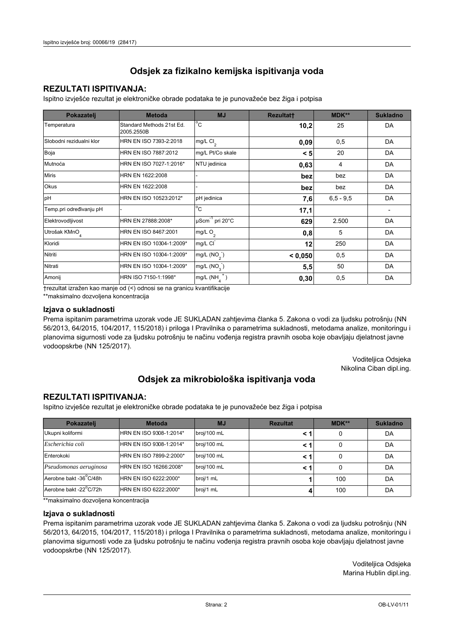## **REZULTATI ISPITIVANJA:**

Ispitno izviešće rezultat je elektroničke obrade podataka te je punovažeće bez žiga i potpisa

| Pokazatelj                | <b>Metoda</b>                           | <b>MJ</b>               | <b>Rezultatt</b> | MDK**         | <b>Sukladno</b> |
|---------------------------|-----------------------------------------|-------------------------|------------------|---------------|-----------------|
| Temperatura               | Standard Methods 21st Ed.<br>2005.2550B | $^{\circ}$ C            | 10,2             | 25            | DA              |
| Slobodni rezidualni klor  | HRN EN ISO 7393-2:2018                  | mg/L $Cl2$              | 0,09             | 0,5           | DA              |
| Boja                      | HRN EN ISO 7887:2012                    | mg/L Pt/Co skale        | < 5              | 20            | DA              |
| Mutnoća                   | HRN EN ISO 7027-1:2016*                 | NTU jedinica            | 0,63             | 4             | DA              |
| <b>Miris</b>              | HRN EN 1622:2008                        |                         | bez              | bez           | DA              |
| Okus                      | HRN EN 1622:2008                        |                         | bez              | bez           | DA              |
| pH                        | HRN EN ISO 10523:2012*                  | pH jedinica             | 7,6              | $6, 5 - 9, 5$ | DA              |
| Temp.pri određivanju pH   |                                         | $^{\circ}$ C            | 17,1             |               |                 |
| Elektrovodljivost         | HRN EN 27888:2008*                      | µScm-1 pri 20°C         | 629              | 2.500         | DA              |
| Utrošak KMnO <sub>4</sub> | HRN EN ISO 8467:2001                    | mg/L $O2$               | 0,8              | 5             | DA              |
| Kloridi                   | HRN EN ISO 10304-1:2009*                | mg/L CI                 | 12               | 250           | DA              |
| Nitriti                   | HRN EN ISO 10304-1:2009*                | mg/L (NO <sub>2</sub> ) | < 0.050          | 0,5           | DA              |
| Nitrati                   | HRN EN ISO 10304-1:2009*                | mg/L (NO <sub>3</sub> ) | 5,5              | 50            | DA              |
| Amonij                    | HRN ISO 7150-1:1998*                    | mg/L (NH                | 0,30             | 0,5           | DA              |

trezultat izražen kao manje od (<) odnosi se na granicu kvantifikacije

\*\*maksimalno dozvoljena koncentracija

#### Izjava o sukladnosti

Prema ispitanim parametrima uzorak vode JE SUKLADAN zahtievima članka 5. Zakona o vodi za ljudsku potrošnju (NN 56/2013, 64/2015, 104/2017, 115/2018) i priloga I Pravilnika o parametrima sukladnosti, metodama analize, monitoringu i planovima sigurnosti vode za ljudsku potrošnju te načinu vođenja registra pravnih osoba koje obavljaju djelatnost javne vodoopskrbe (NN 125/2017).

> Voditeljica Odsjeka Nikolina Ciban dipl.ing.

## Odsjek za mikrobiološka ispitivanja voda

### **REZULTATI ISPITIVANJA:**

Ispitno izvješće rezultat je elektroničke obrade podataka te je punovažeće bez žiga i potpisa

| Pokazatelj             | <b>Metoda</b>           | <b>MJ</b>   | <b>Rezultat</b> | <b>MDK**</b> | <b>Sukladno</b> |
|------------------------|-------------------------|-------------|-----------------|--------------|-----------------|
| Ukupni koliformi       | HRN EN ISO 9308-1:2014* | broj/100 mL |                 |              | DA              |
| Escherichia coli       | HRN EN ISO 9308-1:2014* | broj/100 mL | < '             | 0            | DA              |
| Enterokoki             | HRN EN ISO 7899-2:2000* | broj/100 mL | < '             |              | DA              |
| Pseudomonas aeruginosa | HRN EN ISO 16266:2008*  | broj/100 mL | < '             | 0            | DA              |
| Aerobne bakt -36°C/48h | HRN EN ISO 6222:2000*   | broj/1 mL   |                 | 100          | DA              |
| Aerobne bakt -22°C/72h | HRN EN ISO 6222:2000*   | broj/1 mL   |                 | 100          | DA              |

\*\* maksimalno dozvoljena koncentracija

#### Izjava o sukladnosti

Prema ispitanim parametrima uzorak vode JE SUKLADAN zahtjevima članka 5. Zakona o vodi za ljudsku potrošnju (NN 56/2013, 64/2015, 104/2017, 115/2018) i priloga I Pravilnika o parametrima sukladnosti, metodama analize, monitoringu i planovima sigurnosti vode za ljudsku potrošnju te načinu vođenja registra pravnih osoba koje obavljaju djelatnost javne vodoopskrbe (NN 125/2017).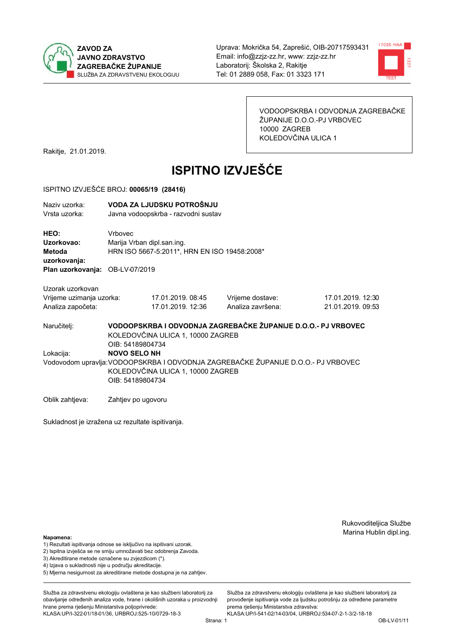



VODOOPSKRBA I ODVODNJA ZAGREBAČKE ŽUPANIJE D.O.O.-PJ VRBOVEC 10000 ZAGREB KOLEDOVČINA ULICA 1

Rakitje, 21.01.2019.

# **ISPITNO IZVJEŠĆE**

#### ISPITNO IZVJEŠĆE BROJ: 00065/19 (28416)

| Naziv uzorka: | VODA ZA LJUDSKU POTROŠNJU           |
|---------------|-------------------------------------|
| Vrsta uzorka: | Javna vodoopskrba - razvodni sustav |

HEO: Vrbovec Uzorkovao: Mariia Vrban dipl.san.ing. Metoda HRN ISO 5667-5:2011\*, HRN EN ISO 19458:2008\* uzorkovanja: Plan uzorkovanja: OB-LV-07/2019

Uzorak uzorkovan Vrijeme uzimanja uzorka:

| Vrijeme uzimanja uzorka: | 17.01.2019.08:45  |
|--------------------------|-------------------|
| Analiza započeta:        | 17.01.2019. 12:36 |

Vrijeme dostave: Analiza završena:

17.01.2019. 12:30 21.01.2019. 09:53

VODOOPSKRBA I ODVODNJA ZAGREBAČKE ŽUPANIJE D.O.O.- PJ VRBOVEC Naručitelj: KOLEDOVČINA ULICA 1, 10000 ZAGREB OIB: 54189804734 Lokacija: **NOVO SELO NH** Vodovodom upravlja: VODOOPSKRBA I ODVODNJA ZAGREBAČKE ŽUPANIJE D.O.O.- PJ VRBOVEC KOLEDOVČINA ULICA 1, 10000 ZAGREB OIB: 54189804734

Oblik zahtjeva: Zahtjev po ugovoru

Sukladnost je izražena uz rezultate ispitivanja.

Rukovoditeljica Službe Marina Hublin dipl.ing.

#### Napomena:

- 1) Rezultati ispitivanja odnose se isključivo na ispitivani uzorak.
- 2) Ispitna izvješća se ne smiju umnožavati bez odobrenja Zavoda.

3) Akreditirane metode označene su zvjezdicom (\*).

- 4) Iziava o sukladnosti nije u području akreditacije.
- 5) Mjerna nesigurnost za akreditirane metode dostupna je na zahtjev.

Služba za zdravstvenu ekologiju ovlaštena je kao službeni laboratorij za obavlianie određenih analiza vode, hrane i okolišnih uzoraka u proizvodniji hrane prema rješenju Ministarstva poljoprivrede:

KLASA:UP/I-322-01/18-01/36, URBROJ:525-10/0729-18-3

Služba za zdravstvenu ekologiju ovlaštena je kao službeni laboratorij za provođenie ispitivania vode za liudsku potrošniu za određene parametre prema riešenju Ministarstva zdravstva: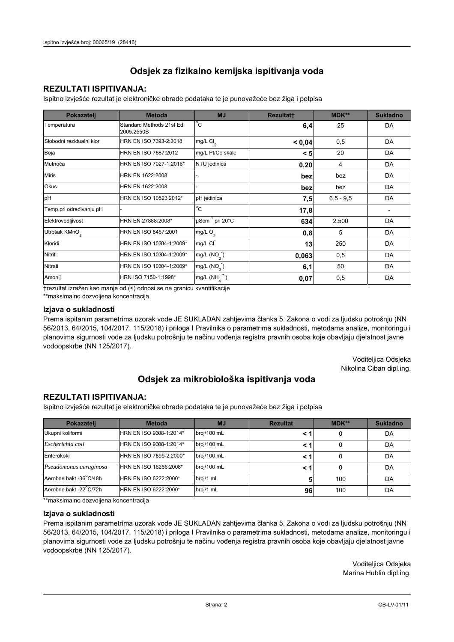## **REZULTATI ISPITIVANJA:**

Ispitno izviešće rezultat je elektroničke obrade podataka te je punovažeće bez žiga i potpisa

| Pokazatelj                | <b>Metoda</b>                           | <b>MJ</b>                   | <b>Rezultatt</b> | MDK**         | <b>Sukladno</b> |
|---------------------------|-----------------------------------------|-----------------------------|------------------|---------------|-----------------|
| Temperatura               | Standard Methods 21st Ed.<br>2005.2550B | $^{\circ}$ C                | 6,4              | 25            | DA              |
| Slobodni rezidualni klor  | HRN EN ISO 7393-2:2018                  | $mg/L$ Cl <sub>2</sub>      | < 0,04           | 0,5           | DA              |
| Boja                      | HRN EN ISO 7887:2012                    | mg/L Pt/Co skale            | < 5              | 20            | DA              |
| Mutnoća                   | HRN EN ISO 7027-1:2016*                 | NTU jedinica                | 0,20             | 4             | DA              |
| <b>Miris</b>              | HRN EN 1622:2008                        |                             | bez              | bez           | DA              |
| <b>Okus</b>               | HRN EN 1622:2008                        |                             | bez              | bez           | DA              |
| pH                        | HRN EN ISO 10523:2012*                  | pH jedinica                 | 7,5              | $6, 5 - 9, 5$ | DA              |
| Temp.pri određivanju pH   |                                         | $^{\circ}$ C                | 17,8             |               |                 |
| Elektrovodljivost         | HRN EN 27888:2008*                      | µScm <sup>-1</sup> pri 20°C | 634              | 2.500         | DA              |
| Utrošak KMnO <sub>4</sub> | HRN EN ISO 8467:2001                    | mg/L $O_2$                  | 0,8              | 5             | DA              |
| Kloridi                   | HRN EN ISO 10304-1:2009*                | mg/L CI                     | 13               | 250           | DA              |
| Nitriti                   | HRN EN ISO 10304-1:2009*                | mg/L $(NO2)$                | 0,063            | 0,5           | DA              |
| Nitrati                   | HRN EN ISO 10304-1:2009*                | mg/L (NO <sub>3</sub> )     | 6,1              | 50            | DA              |
| Amonij                    | HRN ISO 7150-1:1998*                    | mg/L (NH                    | 0,07             | 0,5           | DA              |

trezultat izražen kao manje od (<) odnosi se na granicu kvantifikacije

\*\*maksimalno dozvoljena koncentracija

#### Izjava o sukladnosti

Prema ispitanim parametrima uzorak vode JE SUKLADAN zahtievima članka 5. Zakona o vodi za ljudsku potrošnju (NN 56/2013, 64/2015, 104/2017, 115/2018) i priloga I Pravilnika o parametrima sukladnosti, metodama analize, monitoringu i planovima sigurnosti vode za ljudsku potrošnju te načinu vođenja registra pravnih osoba koje obavljaju djelatnost javne vodoopskrbe (NN 125/2017).

> Voditeljica Odsjeka Nikolina Ciban dipl.ing.

## Odsjek za mikrobiološka ispitivanja voda

### **REZULTATI ISPITIVANJA:**

Ispitno izvješće rezultat je elektroničke obrade podataka te je punovažeće bez žiga i potpisa

| Pokazatelj             | <b>Metoda</b>           | <b>MJ</b>   | <b>Rezultat</b> | <b>MDK**</b> | <b>Sukladno</b> |
|------------------------|-------------------------|-------------|-----------------|--------------|-----------------|
| Ukupni koliformi       | HRN EN ISO 9308-1:2014* | broj/100 mL |                 |              | DA              |
| Escherichia coli       | HRN EN ISO 9308-1:2014* | broj/100 mL | < 1             |              | DA              |
| Enterokoki             | HRN EN ISO 7899-2:2000* | broj/100 mL | < '             |              | DA              |
| Pseudomonas aeruginosa | HRN EN ISO 16266:2008*  | broj/100 mL | < 1             | 0            | DA              |
| Aerobne bakt -36 C/48h | HRN EN ISO 6222:2000*   | broj/1 mL   |                 | 100          | DA              |
| Aerobne bakt -22°C/72h | HRN EN ISO 6222:2000*   | broj/1 mL   | 96              | 100          | DA              |

\*\* maksimalno dozvoljena koncentracija

#### Izjava o sukladnosti

Prema ispitanim parametrima uzorak vode JE SUKLADAN zahtjevima članka 5. Zakona o vodi za ljudsku potrošnju (NN 56/2013, 64/2015, 104/2017, 115/2018) i priloga I Pravilnika o parametrima sukladnosti, metodama analize, monitoringu i planovima sigurnosti vode za ljudsku potrošnju te načinu vođenja registra pravnih osoba koje obavljaju djelatnost javne vodoopskrbe (NN 125/2017).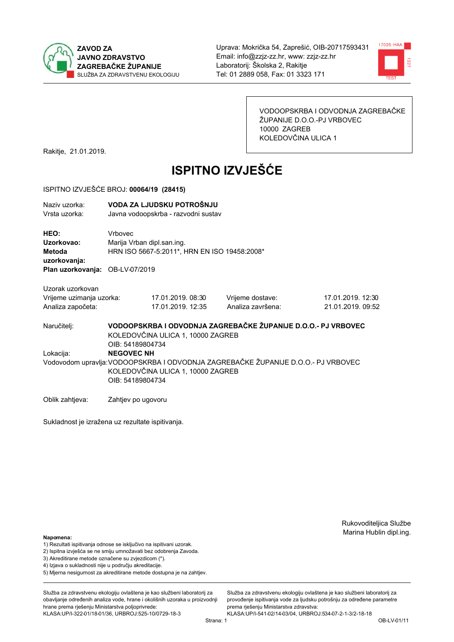



VODOOPSKRBA I ODVODNJA ZAGREBAČKE ŽUPANIJE D.O.O.-PJ VRBOVEC 10000 ZAGREB KOLEDOVČINA ULICA 1

Rakitje, 21.01.2019.

# **ISPITNO IZVJEŠĆE**

#### ISPITNO IZVJEŠĆE BROJ: 00064/19 (28415)

| Naziv uzorka: | VODA ZA LJUDSKU POTROŠNJU           |
|---------------|-------------------------------------|
| Vrsta uzorka: | Javna vodoopskrba - razvodni sustav |
| <b>HEO:</b>   | Vrbovec                             |
| Uzorkovao:    | Marija Vrban dipl.san.ing.          |

HRN ISO 5667-5:2011\*. HRN EN ISO 19458:2008\* Metoda uzorkovanja:

Plan uzorkovanja: OB-LV-07/2019

Uzorak uzorkovan Vrijeme uzimanja uzorka:

Analiza započeta:

| zorka: | 17.01.2019.08:30  |  |
|--------|-------------------|--|
|        | 17.01.2019. 12:35 |  |

Vrijeme dostave: Analiza završena: 17.01.2019. 12:30 21.01.2019.09:52

Naručitelj:

Lokacija:

VODOOPSKRBA I ODVODNJA ZAGREBAČKE ŽUPANIJE D.O.O.- PJ VRBOVEC KOLEDOVČINA ULICA 1, 10000 ZAGREB OIB: 54189804734 **NEGOVEC NH** Vodovodom upravlja: VODOOPSKRBA I ODVODNJA ZAGREBAČKE ŽUPANIJE D.O.O.- PJ VRBOVEC KOLEDOVČINA ULICA 1, 10000 ZAGREB OIB: 54189804734

Oblik zahtjeva: Zahtjev po ugovoru

Sukladnost je izražena uz rezultate ispitivanja.

Rukovoditeljica Službe Marina Hublin dipl.ing.

#### Napomena:

- 1) Rezultati ispitivanja odnose se isključivo na ispitivani uzorak.
- 2) Ispitna izvješća se ne smiju umnožavati bez odobrenja Zavoda.
- 3) Akreditirane metode označene su zvjezdicom (\*).
- 4) Iziava o sukladnosti nije u područiu akreditacije.
- 5) Mjerna nesigurnost za akreditirane metode dostupna je na zahtjev.

Služba za zdravstvenu ekologiju ovlaštena je kao službeni laboratorij za obavlianie određenih analiza vode, hrane i okolišnih uzoraka u proizvodniji hrane prema rješenju Ministarstva poljoprivrede: KLASA:UP/I-322-01/18-01/36, URBROJ:525-10/0729-18-3

Strana: 1

Služba za zdravstvenu ekologiju ovlaštena je kao službeni laboratorij za provođenie ispitivania vode za liudsku potrošniu za određene parametre prema riešenju Ministarstva zdravstva: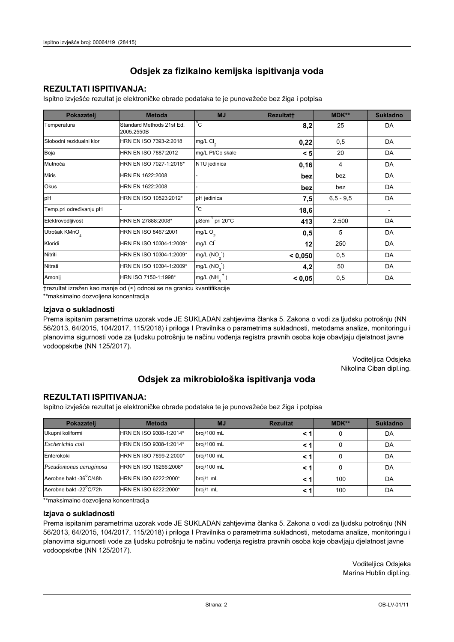## **REZULTATI ISPITIVANJA:**

Ispitno izviešće rezultat je elektroničke obrade podataka te je punovažeće bez žiga i potpisa

| Pokazatelj                | <b>Metoda</b>                           | <b>MJ</b>              | <b>Rezultatt</b> | MDK**         | <b>Sukladno</b> |
|---------------------------|-----------------------------------------|------------------------|------------------|---------------|-----------------|
| Temperatura               | Standard Methods 21st Ed.<br>2005.2550B | $^{\circ}$ C           | 8,2              | 25            | DA              |
| Slobodni rezidualni klor  | HRN EN ISO 7393-2:2018                  | $mg/L$ Cl <sub>2</sub> | 0,22             | 0,5           | DA              |
| Boja                      | HRN EN ISO 7887:2012                    | mg/L Pt/Co skale       | < 5              | 20            | DA              |
| Mutnoća                   | HRN EN ISO 7027-1:2016*                 | NTU jedinica           | 0,16             | 4             | DA              |
| <b>Miris</b>              | HRN EN 1622:2008                        |                        | bez              | bez           | DA              |
| <b>Okus</b>               | HRN EN 1622:2008                        |                        | bez              | bez           | DA              |
| pH                        | HRN EN ISO 10523:2012*                  | pH jedinica            | 7,5              | $6, 5 - 9, 5$ | DA              |
| Temp.pri određivanju pH   |                                         | $^{\circ}$ C           | 18,6             |               |                 |
| Elektrovodljivost         | HRN EN 27888:2008*                      | µScm-1 pri 20°C        | 413              | 2.500         | DA              |
| Utrošak KMnO <sub>4</sub> | HRN EN ISO 8467:2001                    | mg/L $O_2$             | 0,5              | 5             | DA              |
| Kloridi                   | HRN EN ISO 10304-1:2009*                | mg/L CI                | 12               | 250           | DA              |
| Nitriti                   | HRN EN ISO 10304-1:2009*                | mg/L $(NO2)$           | < 0,050          | 0,5           | DA              |
| Nitrati                   | HRN EN ISO 10304-1:2009*                | mg/L $(NO3)$           | 4,2              | 50            | DA              |
| Amonij                    | HRN ISO 7150-1:1998*                    | mg/L (NH               | < 0,05           | 0,5           | DA              |

trezultat izražen kao manje od (<) odnosi se na granicu kvantifikacije

\*\*maksimalno dozvoljena koncentracija

#### Izjava o sukladnosti

Prema ispitanim parametrima uzorak vode JE SUKLADAN zahtievima članka 5. Zakona o vodi za ljudsku potrošnju (NN 56/2013, 64/2015, 104/2017, 115/2018) i priloga I Pravilnika o parametrima sukladnosti, metodama analize, monitoringu i planovima sigurnosti vode za ljudsku potrošnju te načinu vođenja registra pravnih osoba koje obavljaju djelatnost javne vodoopskrbe (NN 125/2017).

> Voditeljica Odsjeka Nikolina Ciban dipl.ing.

## Odsjek za mikrobiološka ispitivanja voda

### **REZULTATI ISPITIVANJA:**

Ispitno izvješće rezultat je elektroničke obrade podataka te je punovažeće bez žiga i potpisa

| Pokazatelj             | <b>Metoda</b>           | <b>MJ</b>   | <b>Rezultat</b> | <b>MDK**</b> | <b>Sukladno</b> |
|------------------------|-------------------------|-------------|-----------------|--------------|-----------------|
| Ukupni koliformi       | HRN EN ISO 9308-1:2014* | broj/100 mL |                 |              | DA              |
| Escherichia coli       | HRN EN ISO 9308-1:2014* | broj/100 mL | < 1             |              | DA              |
| Enterokoki             | HRN EN ISO 7899-2:2000* | broj/100 mL | < '             |              | DA              |
| Pseudomonas aeruginosa | HRN EN ISO 16266:2008*  | broj/100 mL | < 1             | 0            | DA              |
| Aerobne bakt -36 C/48h | HRN EN ISO 6222:2000*   | broj/1 mL   |                 | 100          | DA              |
| Aerobne bakt -22°C/72h | HRN EN ISO 6222:2000*   | broj/1 mL   | < 1             | 100          | DA              |

\*\* maksimalno dozvoljena koncentracija

#### Izjava o sukladnosti

Prema ispitanim parametrima uzorak vode JE SUKLADAN zahtjevima članka 5. Zakona o vodi za ljudsku potrošnju (NN 56/2013, 64/2015, 104/2017, 115/2018) i priloga I Pravilnika o parametrima sukladnosti, metodama analize, monitoringu i planovima sigurnosti vode za ljudsku potrošnju te načinu vođenja registra pravnih osoba koje obavljaju djelatnost javne vodoopskrbe (NN 125/2017).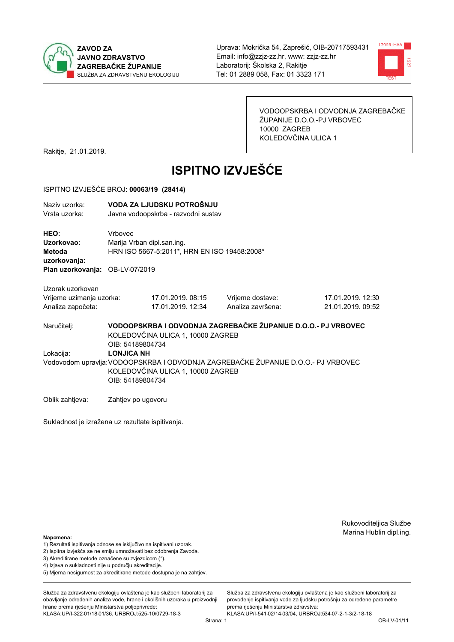



VODOOPSKRBA I ODVODNJA ZAGREBAČKE ŽUPANIJE D.O.O.-PJ VRBOVEC 10000 ZAGREB KOLEDOVČINA ULICA 1

Rakitje, 21.01.2019.

# **ISPITNO IZVJEŠĆE**

#### ISPITNO IZVJEŠĆE BROJ: 00063/19 (28414)

| Naziv uzorka: | VODA ZA LJUDSKU POTROŠNJU           |
|---------------|-------------------------------------|
| Vrsta uzorka: | Javna vodoopskrba - razvodni sustav |
|               |                                     |

HEO: Vrbovec Uzorkovao: Marija Vrban dipl.san.ing. Metoda HRN ISO 5667-5:2011\*, HRN EN ISO 19458:2008\* uzorkovanja: Plan uzorkovanja: OB-LV-07/2019

Uzorak uzorkovan

| Vrijeme uzimanja uzorka: | 17.01.2019. 08:15 | Vrijeme dostave:  | 17.01.2019. 12:30 |
|--------------------------|-------------------|-------------------|-------------------|
| Analiza započeta:        | 17.01.2019. 12:34 | Analiza završena: | 21.01.2019.09:52  |

VODOOPSKRBA I ODVODNJA ZAGREBAČKE ŽUPANIJE D.O.O.- PJ VRBOVEC Naručitelj: KOLEDOVČINA ULICA 1, 10000 ZAGREB OIB: 54189804734 Lokacija: **LONJICA NH** Vodovodom upravlja: VODOOPSKRBA I ODVODNJA ZAGREBAČKE ŽUPANIJE D.O.O.- PJ VRBOVEC KOLEDOVČINA ULICA 1, 10000 ZAGREB OIB: 54189804734

Oblik zahtjeva: Zahtjev po ugovoru

Sukladnost je izražena uz rezultate ispitivanja.

Rukovoditeljica Službe Marina Hublin dipl.ing.

#### Napomena:

- 1) Rezultati ispitivanja odnose se isključivo na ispitivani uzorak.
- 2) Ispitna izvješća se ne smiju umnožavati bez odobrenja Zavoda.

3) Akreditirane metode označene su zvjezdicom (\*).

- 4) Iziava o sukladnosti nije u području akreditacije.
- 5) Mjerna nesigurnost za akreditirane metode dostupna je na zahtjev.

Služba za zdravstvenu ekologiju ovlaštena je kao službeni laboratorij za obavlianie određenih analiza vode, hrane i okolišnih uzoraka u proizvodniji hrane prema rješenju Ministarstva poljoprivrede: KLASA:UP/I-322-01/18-01/36, URBROJ:525-10/0729-18-3

KLASA:UP/I-541-02/14-03/04, URBROJ:534-07-2-1-3/2-18-18 Strana: 1

prema riešenju Ministarstva zdravstva:

Služba za zdravstvenu ekologiju ovlaštena je kao službeni laboratorij za

provođenie ispitivania vode za liudsku potrošniu za određene parametre